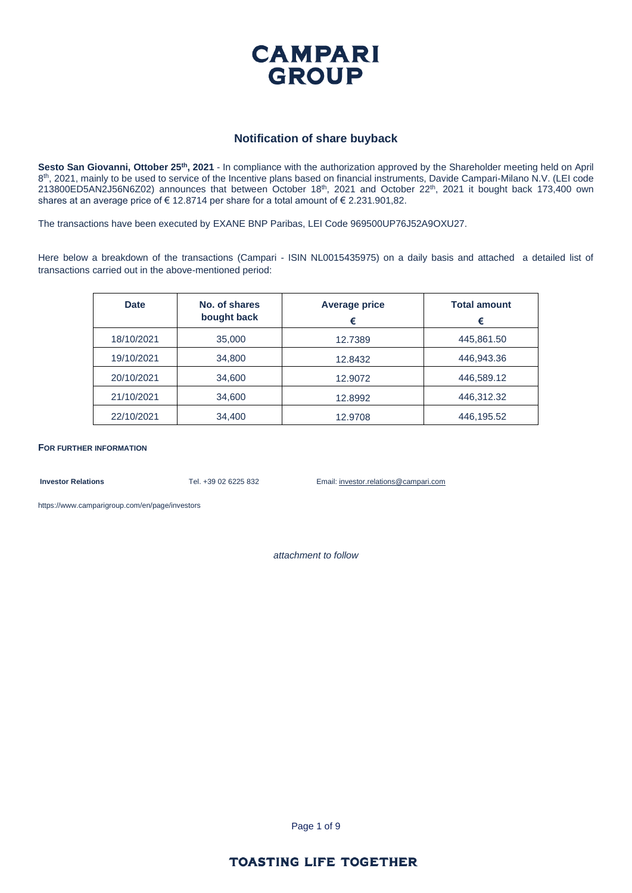

#### **Notification of share buyback**

**Sesto San Giovanni, Ottober 25th, 2021** - In compliance with the authorization approved by the Shareholder meeting held on April 8<sup>th</sup>, 2021, mainly to be used to service of the Incentive plans based on financial instruments, Davide Campari-Milano N.V. (LEI code 213800ED5AN2J56N6Z02) announces that between October 18<sup>th</sup>, 2021 and October 22<sup>th</sup>, 2021 it bought back 173,400 own shares at an average price of € 12.8714 per share for a total amount of € 2.231.901,82.

The transactions have been executed by EXANE BNP Paribas, LEI Code 969500UP76J52A9OXU27.

Here below a breakdown of the transactions (Campari - ISIN NL0015435975) on a daily basis and attached a detailed list of transactions carried out in the above-mentioned period:

| <b>Date</b> | No. of shares<br>bought back | Average price<br>€ | <b>Total amount</b><br>€ |
|-------------|------------------------------|--------------------|--------------------------|
| 18/10/2021  | 35,000                       | 12.7389            | 445,861.50               |
| 19/10/2021  | 34,800                       | 12.8432            | 446,943.36               |
| 20/10/2021  | 34,600                       | 12,9072            | 446,589.12               |
| 21/10/2021  | 34,600                       | 12,8992            | 446,312.32               |
| 22/10/2021  | 34,400                       | 12,9708            | 446,195.52               |

**FOR FURTHER INFORMATION**

**Investor Relations** Tel. +39 02 6225 832 Email: investor.relations@campari.com

[https://www.camparigroup.com/en/page/investors](https://urldefense.proofpoint.com/v2/url?u=https-3A__www.camparigroup.com_en_page_investors&d=DwMFAw&c=XYrWdXnqoGVNRPOyUELP3IXCOEKnVf1zLk3mv6_0vws&r=7duvdfu-gIaiPrAcF5cMQ3C7k4ExOdDC_HToaoAPHZI&m=owk4gVJoOX0Y5PzcaCnrKyxdIRMNjFCG63QhVPH7AUk&s=iCu7Kfnsxig867VkmNLTca3aRN9CMoJdPlGaK-6pYP8&e=)

*attachment to follow*

Page 1 of 9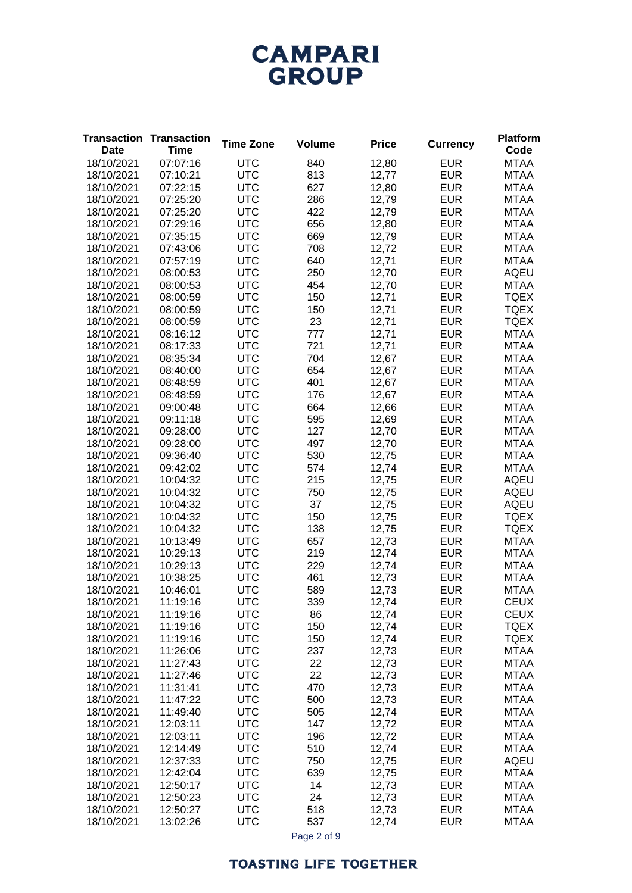# **CAMPARI** GROUP

| <b>Transaction</b><br><b>Date</b> | <b>Transaction</b><br><b>Time</b> | <b>Time Zone</b>         | <b>Volume</b> | <b>Price</b>   | <b>Currency</b>          | <b>Platform</b><br>Code    |
|-----------------------------------|-----------------------------------|--------------------------|---------------|----------------|--------------------------|----------------------------|
| 18/10/2021                        | 07:07:16                          | <b>UTC</b>               | 840           | 12,80          | <b>EUR</b>               | <b>MTAA</b>                |
| 18/10/2021                        | 07:10:21                          | <b>UTC</b>               | 813           | 12,77          | <b>EUR</b>               | <b>MTAA</b>                |
| 18/10/2021                        | 07:22:15                          | <b>UTC</b>               | 627           | 12,80          | <b>EUR</b>               | <b>MTAA</b>                |
| 18/10/2021                        | 07:25:20                          | <b>UTC</b>               | 286           | 12,79          | <b>EUR</b>               | <b>MTAA</b>                |
| 18/10/2021                        | 07:25:20                          | <b>UTC</b>               | 422           | 12,79          | <b>EUR</b>               | <b>MTAA</b>                |
| 18/10/2021                        | 07:29:16                          | <b>UTC</b>               | 656           | 12,80          | <b>EUR</b>               | <b>MTAA</b>                |
| 18/10/2021                        | 07:35:15                          | <b>UTC</b>               | 669           | 12,79          | <b>EUR</b>               | <b>MTAA</b>                |
| 18/10/2021                        | 07:43:06                          | <b>UTC</b>               | 708           | 12,72          | <b>EUR</b>               | <b>MTAA</b>                |
| 18/10/2021                        | 07:57:19                          | <b>UTC</b>               | 640           | 12,71          | <b>EUR</b>               | <b>MTAA</b>                |
| 18/10/2021                        | 08:00:53                          | <b>UTC</b>               | 250           | 12,70          | <b>EUR</b>               | <b>AQEU</b>                |
| 18/10/2021                        | 08:00:53                          | <b>UTC</b>               | 454           | 12,70          | <b>EUR</b>               | <b>MTAA</b>                |
| 18/10/2021                        | 08:00:59                          | <b>UTC</b>               | 150           | 12,71          | <b>EUR</b>               | <b>TQEX</b>                |
| 18/10/2021                        | 08:00:59                          | <b>UTC</b>               | 150           | 12,71          | <b>EUR</b>               | <b>TQEX</b>                |
| 18/10/2021                        | 08:00:59                          | <b>UTC</b>               | 23            | 12,71          | <b>EUR</b>               | <b>TQEX</b>                |
| 18/10/2021                        | 08:16:12                          | <b>UTC</b>               | 777           | 12,71          | <b>EUR</b>               | <b>MTAA</b>                |
| 18/10/2021                        | 08:17:33                          | <b>UTC</b>               | 721           | 12,71          | <b>EUR</b>               | <b>MTAA</b>                |
| 18/10/2021                        | 08:35:34                          | <b>UTC</b>               | 704           | 12,67          | <b>EUR</b>               | <b>MTAA</b>                |
| 18/10/2021                        | 08:40:00                          | <b>UTC</b>               | 654           | 12,67          | <b>EUR</b>               | <b>MTAA</b>                |
| 18/10/2021                        | 08:48:59                          | <b>UTC</b>               | 401           | 12,67          | <b>EUR</b>               | <b>MTAA</b>                |
| 18/10/2021                        | 08:48:59                          | <b>UTC</b>               | 176           | 12,67          | <b>EUR</b>               | <b>MTAA</b>                |
| 18/10/2021                        | 09:00:48                          | <b>UTC</b>               | 664           | 12,66          | <b>EUR</b>               | <b>MTAA</b>                |
| 18/10/2021                        | 09:11:18                          | <b>UTC</b>               | 595           | 12,69          | <b>EUR</b>               | <b>MTAA</b>                |
| 18/10/2021                        | 09:28:00                          | <b>UTC</b>               | 127           | 12,70          | <b>EUR</b>               | <b>MTAA</b>                |
| 18/10/2021                        | 09:28:00                          | <b>UTC</b>               | 497           | 12,70          | <b>EUR</b>               | <b>MTAA</b>                |
| 18/10/2021                        | 09:36:40                          | <b>UTC</b>               | 530           | 12,75          | <b>EUR</b>               | <b>MTAA</b>                |
| 18/10/2021                        | 09:42:02                          | <b>UTC</b>               | 574           | 12,74          | <b>EUR</b>               | <b>MTAA</b>                |
| 18/10/2021                        | 10:04:32                          | <b>UTC</b>               | 215           | 12,75          | <b>EUR</b>               | <b>AQEU</b>                |
| 18/10/2021                        | 10:04:32                          | <b>UTC</b>               | 750           | 12,75          | <b>EUR</b>               | <b>AQEU</b>                |
| 18/10/2021                        | 10:04:32                          | <b>UTC</b>               | 37            | 12,75          | <b>EUR</b>               | <b>AQEU</b>                |
| 18/10/2021                        | 10:04:32                          | <b>UTC</b>               | 150           | 12,75          | <b>EUR</b>               | <b>TQEX</b>                |
| 18/10/2021                        | 10:04:32                          | <b>UTC</b>               | 138           | 12,75          | <b>EUR</b>               | <b>TQEX</b>                |
| 18/10/2021<br>18/10/2021          | 10:13:49<br>10:29:13              | <b>UTC</b><br><b>UTC</b> | 657<br>219    | 12,73<br>12,74 | <b>EUR</b><br><b>EUR</b> | <b>MTAA</b><br><b>MTAA</b> |
| 18/10/2021                        | 10:29:13                          | <b>UTC</b>               | 229           | 12,74          | <b>EUR</b>               | <b>MTAA</b>                |
| 18/10/2021                        | 10:38:25                          | <b>UTC</b>               | 461           | 12,73          | <b>EUR</b>               | <b>MTAA</b>                |
| 18/10/2021                        | 10:46:01                          | <b>UTC</b>               | 589           | 12,73          | <b>EUR</b>               | <b>MTAA</b>                |
| 18/10/2021                        | 11:19:16                          | <b>UTC</b>               | 339           | 12,74          | <b>EUR</b>               | <b>CEUX</b>                |
| 18/10/2021                        | 11:19:16                          | <b>UTC</b>               | 86            | 12,74          | <b>EUR</b>               | <b>CEUX</b>                |
| 18/10/2021                        | 11:19:16                          | <b>UTC</b>               | 150           | 12,74          | <b>EUR</b>               | <b>TQEX</b>                |
| 18/10/2021                        | 11:19:16                          | <b>UTC</b>               | 150           | 12,74          | <b>EUR</b>               | <b>TQEX</b>                |
| 18/10/2021                        | 11:26:06                          | <b>UTC</b>               | 237           | 12,73          | <b>EUR</b>               | <b>MTAA</b>                |
| 18/10/2021                        | 11:27:43                          | <b>UTC</b>               | 22            | 12,73          | <b>EUR</b>               | <b>MTAA</b>                |
| 18/10/2021                        | 11:27:46                          | <b>UTC</b>               | 22            | 12,73          | <b>EUR</b>               | <b>MTAA</b>                |
| 18/10/2021                        | 11:31:41                          | <b>UTC</b>               | 470           | 12,73          | <b>EUR</b>               | <b>MTAA</b>                |
| 18/10/2021                        | 11:47:22                          | <b>UTC</b>               | 500           | 12,73          | <b>EUR</b>               | <b>MTAA</b>                |
| 18/10/2021                        | 11:49:40                          | <b>UTC</b>               | 505           | 12,74          | <b>EUR</b>               | <b>MTAA</b>                |
| 18/10/2021                        | 12:03:11                          | <b>UTC</b>               | 147           | 12,72          | <b>EUR</b>               | <b>MTAA</b>                |
| 18/10/2021                        | 12:03:11                          | <b>UTC</b>               | 196           | 12,72          | <b>EUR</b>               | <b>MTAA</b>                |
| 18/10/2021                        | 12:14:49                          | <b>UTC</b>               | 510           | 12,74          | <b>EUR</b>               | <b>MTAA</b>                |
| 18/10/2021                        | 12:37:33                          | <b>UTC</b>               | 750           | 12,75          | <b>EUR</b>               | <b>AQEU</b>                |
| 18/10/2021                        | 12:42:04                          | <b>UTC</b>               | 639           | 12,75          | <b>EUR</b>               | <b>MTAA</b>                |
| 18/10/2021                        | 12:50:17                          | <b>UTC</b>               | 14            | 12,73          | <b>EUR</b>               | <b>MTAA</b>                |
| 18/10/2021                        | 12:50:23                          | <b>UTC</b>               | 24            | 12,73          | <b>EUR</b>               | <b>MTAA</b>                |
| 18/10/2021                        | 12:50:27                          | <b>UTC</b>               | 518           | 12,73          | <b>EUR</b>               | <b>MTAA</b>                |
| 18/10/2021                        | 13:02:26                          | <b>UTC</b>               | 537           | 12,74          | <b>EUR</b>               | <b>MTAA</b>                |

Page 2 of 9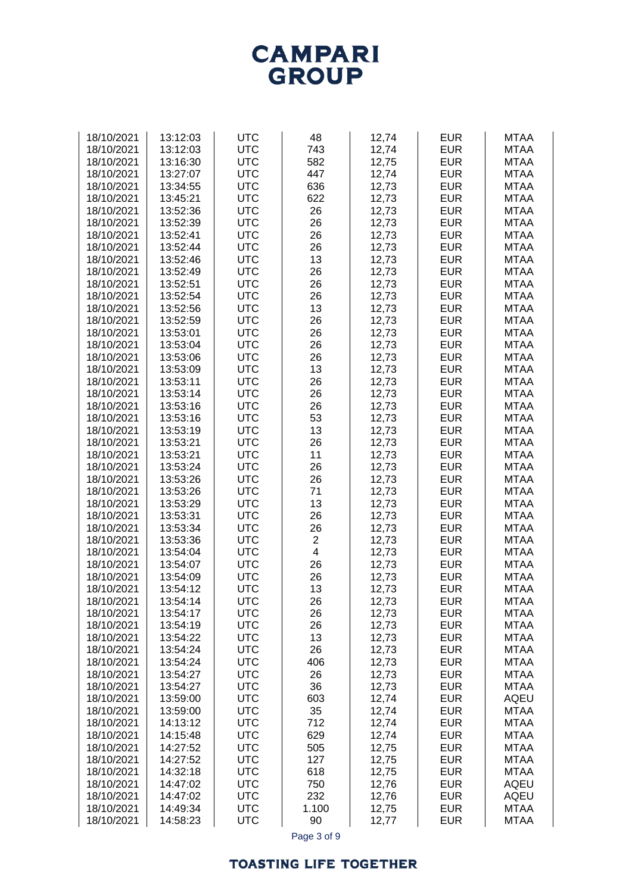# **CAMPARI**<br>GROUP

| 18/10/2021 | 13:12:03 | <b>UTC</b>        | 48                      | 12,74 | <b>EUR</b> | <b>MTAA</b> |
|------------|----------|-------------------|-------------------------|-------|------------|-------------|
|            |          |                   |                         |       |            |             |
| 18/10/2021 | 13:12:03 | <b>UTC</b>        | 743                     | 12,74 | <b>EUR</b> | <b>MTAA</b> |
| 18/10/2021 | 13:16:30 | <b>UTC</b>        | 582                     | 12,75 | <b>EUR</b> | <b>MTAA</b> |
| 18/10/2021 | 13:27:07 | <b>UTC</b>        | 447                     | 12,74 | <b>EUR</b> | <b>MTAA</b> |
| 18/10/2021 | 13:34:55 | <b>UTC</b>        | 636                     | 12,73 | <b>EUR</b> | <b>MTAA</b> |
| 18/10/2021 | 13:45:21 | <b>UTC</b>        | 622                     | 12,73 | <b>EUR</b> | <b>MTAA</b> |
| 18/10/2021 | 13:52:36 | <b>UTC</b>        | 26                      | 12,73 | <b>EUR</b> | <b>MTAA</b> |
| 18/10/2021 | 13:52:39 | <b>UTC</b>        | 26                      | 12,73 | <b>EUR</b> | <b>MTAA</b> |
| 18/10/2021 | 13:52:41 | <b>UTC</b>        | 26                      | 12,73 | <b>EUR</b> | <b>MTAA</b> |
| 18/10/2021 | 13:52:44 | <b>UTC</b>        | 26                      | 12,73 | <b>EUR</b> | <b>MTAA</b> |
| 18/10/2021 | 13:52:46 | <b>UTC</b>        | 13                      | 12,73 | <b>EUR</b> | <b>MTAA</b> |
|            |          | <b>UTC</b>        |                         |       | <b>EUR</b> | <b>MTAA</b> |
| 18/10/2021 | 13:52:49 |                   | 26                      | 12,73 |            |             |
| 18/10/2021 | 13:52:51 | <b>UTC</b>        | 26                      | 12,73 | <b>EUR</b> | <b>MTAA</b> |
| 18/10/2021 | 13:52:54 | <b>UTC</b>        | 26                      | 12,73 | <b>EUR</b> | <b>MTAA</b> |
| 18/10/2021 | 13:52:56 | <b>UTC</b>        | 13                      | 12,73 | <b>EUR</b> | <b>MTAA</b> |
| 18/10/2021 | 13:52:59 | <b>UTC</b>        | 26                      | 12,73 | <b>EUR</b> | <b>MTAA</b> |
| 18/10/2021 | 13:53:01 | <b>UTC</b>        | 26                      | 12,73 | <b>EUR</b> | <b>MTAA</b> |
| 18/10/2021 | 13:53:04 | <b>UTC</b>        | 26                      | 12,73 | <b>EUR</b> | <b>MTAA</b> |
| 18/10/2021 | 13:53:06 | <b>UTC</b>        | 26                      | 12,73 | <b>EUR</b> | <b>MTAA</b> |
| 18/10/2021 | 13:53:09 | <b>UTC</b>        | 13                      | 12,73 | <b>EUR</b> | <b>MTAA</b> |
| 18/10/2021 | 13:53:11 | <b>UTC</b>        | 26                      | 12,73 | <b>EUR</b> | <b>MTAA</b> |
| 18/10/2021 | 13:53:14 | <b>UTC</b>        | 26                      | 12,73 | <b>EUR</b> | <b>MTAA</b> |
| 18/10/2021 | 13:53:16 | <b>UTC</b>        | 26                      | 12,73 | <b>EUR</b> | <b>MTAA</b> |
| 18/10/2021 | 13:53:16 | <b>UTC</b>        | 53                      | 12,73 | <b>EUR</b> | <b>MTAA</b> |
|            |          |                   |                         |       |            |             |
| 18/10/2021 | 13:53:19 | <b>UTC</b>        | 13                      | 12,73 | <b>EUR</b> | <b>MTAA</b> |
| 18/10/2021 | 13:53:21 | <b>UTC</b>        | 26                      | 12,73 | <b>EUR</b> | <b>MTAA</b> |
| 18/10/2021 | 13:53:21 | <b>UTC</b>        | 11                      | 12,73 | <b>EUR</b> | <b>MTAA</b> |
| 18/10/2021 | 13:53:24 | <b>UTC</b>        | 26                      | 12,73 | <b>EUR</b> | <b>MTAA</b> |
| 18/10/2021 | 13:53:26 | <b>UTC</b>        | 26                      | 12,73 | <b>EUR</b> | <b>MTAA</b> |
| 18/10/2021 | 13:53:26 | <b>UTC</b>        | 71                      | 12,73 | <b>EUR</b> | <b>MTAA</b> |
| 18/10/2021 | 13:53:29 | <b>UTC</b>        | 13                      | 12,73 | <b>EUR</b> | <b>MTAA</b> |
| 18/10/2021 | 13:53:31 | <b>UTC</b>        | 26                      | 12,73 | <b>EUR</b> | <b>MTAA</b> |
| 18/10/2021 | 13:53:34 | <b>UTC</b>        | 26                      | 12,73 | <b>EUR</b> | <b>MTAA</b> |
| 18/10/2021 | 13:53:36 | <b>UTC</b>        | $\overline{c}$          | 12,73 | <b>EUR</b> | <b>MTAA</b> |
| 18/10/2021 | 13:54:04 | <b>UTC</b>        | $\overline{\mathbf{4}}$ | 12,73 | <b>EUR</b> | <b>MTAA</b> |
| 18/10/2021 | 13:54:07 | <b>UTC</b>        | 26                      | 12,73 | <b>EUR</b> | <b>MTAA</b> |
| 18/10/2021 | 13:54:09 | <b>UTC</b>        | 26                      | 12,73 | <b>EUR</b> | <b>MTAA</b> |
| 18/10/2021 | 13:54:12 | <b>UTC</b>        | 13                      | 12,73 | <b>EUR</b> | <b>MTAA</b> |
|            |          |                   |                         |       |            |             |
| 18/10/2021 | 13:54:14 | UTC<br><b>UTC</b> | 26                      | 12,73 | <b>EUR</b> | MTAA        |
| 18/10/2021 | 13:54:17 |                   | 26                      | 12,73 | <b>EUR</b> | <b>MTAA</b> |
| 18/10/2021 | 13:54:19 | <b>UTC</b>        | 26                      | 12,73 | <b>EUR</b> | <b>MTAA</b> |
| 18/10/2021 | 13:54:22 | <b>UTC</b>        | 13                      | 12,73 | <b>EUR</b> | <b>MTAA</b> |
| 18/10/2021 | 13:54:24 | <b>UTC</b>        | 26                      | 12,73 | <b>EUR</b> | <b>MTAA</b> |
| 18/10/2021 | 13:54:24 | <b>UTC</b>        | 406                     | 12,73 | <b>EUR</b> | <b>MTAA</b> |
| 18/10/2021 | 13:54:27 | <b>UTC</b>        | 26                      | 12,73 | <b>EUR</b> | <b>MTAA</b> |
| 18/10/2021 | 13:54:27 | <b>UTC</b>        | 36                      | 12,73 | <b>EUR</b> | <b>MTAA</b> |
| 18/10/2021 | 13:59:00 | <b>UTC</b>        | 603                     | 12,74 | <b>EUR</b> | <b>AQEU</b> |
| 18/10/2021 | 13:59:00 | <b>UTC</b>        | 35                      | 12,74 | <b>EUR</b> | <b>MTAA</b> |
| 18/10/2021 | 14:13:12 | <b>UTC</b>        | 712                     | 12,74 | <b>EUR</b> | <b>MTAA</b> |
| 18/10/2021 | 14:15:48 | <b>UTC</b>        | 629                     | 12,74 | <b>EUR</b> | <b>MTAA</b> |
| 18/10/2021 | 14:27:52 | <b>UTC</b>        | 505                     | 12,75 | <b>EUR</b> | <b>MTAA</b> |
| 18/10/2021 | 14:27:52 | <b>UTC</b>        | 127                     | 12,75 | <b>EUR</b> | <b>MTAA</b> |
| 18/10/2021 | 14:32:18 | <b>UTC</b>        | 618                     | 12,75 | <b>EUR</b> | <b>MTAA</b> |
| 18/10/2021 | 14:47:02 | <b>UTC</b>        | 750                     | 12,76 | <b>EUR</b> | <b>AQEU</b> |
| 18/10/2021 | 14:47:02 | <b>UTC</b>        | 232                     |       | <b>EUR</b> | <b>AQEU</b> |
|            |          |                   |                         | 12,76 |            |             |
| 18/10/2021 | 14:49:34 | <b>UTC</b>        | 1.100                   | 12,75 | <b>EUR</b> | <b>MTAA</b> |
| 18/10/2021 | 14:58:23 | <b>UTC</b>        | 90                      | 12,77 | <b>EUR</b> | <b>MTAA</b> |

Page 3 of 9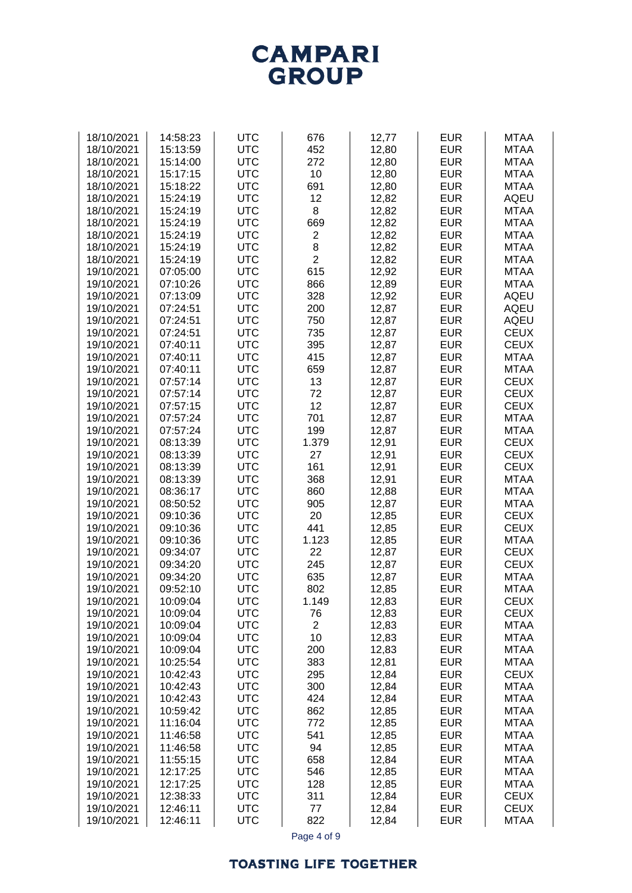## **TOASTING LIFE TOGETHER**

| 18/10/2021               | 14:58:23             | <b>UTC</b>               | 676            | 12,77          | <b>EUR</b>               | <b>MTAA</b>                |
|--------------------------|----------------------|--------------------------|----------------|----------------|--------------------------|----------------------------|
| 18/10/2021               | 15:13:59             | <b>UTC</b>               | 452            | 12,80          | <b>EUR</b>               | <b>MTAA</b>                |
| 18/10/2021               | 15:14:00             | <b>UTC</b>               | 272            | 12,80          | <b>EUR</b>               | <b>MTAA</b>                |
| 18/10/2021               | 15:17:15             | <b>UTC</b>               | 10             | 12,80          | <b>EUR</b>               | <b>MTAA</b>                |
| 18/10/2021               | 15:18:22             | <b>UTC</b>               | 691            | 12,80          | <b>EUR</b>               | <b>MTAA</b>                |
| 18/10/2021               | 15:24:19             | <b>UTC</b>               | 12             | 12,82          | <b>EUR</b>               | <b>AQEU</b>                |
| 18/10/2021               | 15:24:19             | <b>UTC</b>               | 8              | 12,82          | <b>EUR</b>               | <b>MTAA</b>                |
| 18/10/2021               | 15:24:19             | <b>UTC</b>               | 669            | 12,82          | <b>EUR</b>               | <b>MTAA</b>                |
| 18/10/2021               | 15:24:19             | <b>UTC</b>               | $\overline{2}$ | 12,82          | <b>EUR</b>               | <b>MTAA</b>                |
| 18/10/2021               | 15:24:19             | <b>UTC</b>               | 8              | 12,82          | <b>EUR</b>               | <b>MTAA</b>                |
| 18/10/2021               | 15:24:19             | <b>UTC</b>               | $\overline{2}$ | 12,82          | <b>EUR</b>               | <b>MTAA</b>                |
| 19/10/2021               | 07:05:00             | <b>UTC</b>               | 615            | 12,92          | <b>EUR</b>               | <b>MTAA</b>                |
| 19/10/2021               | 07:10:26             | <b>UTC</b>               | 866            | 12,89          | <b>EUR</b>               | <b>MTAA</b>                |
| 19/10/2021               | 07:13:09             | <b>UTC</b>               | 328            | 12,92          | <b>EUR</b>               | <b>AQEU</b>                |
| 19/10/2021               | 07:24:51             | <b>UTC</b>               | 200            | 12,87          | <b>EUR</b>               | <b>AQEU</b>                |
| 19/10/2021               | 07:24:51             | <b>UTC</b>               | 750            | 12,87          | <b>EUR</b>               | <b>AQEU</b>                |
| 19/10/2021               | 07:24:51             | <b>UTC</b>               | 735            | 12,87          | <b>EUR</b>               | <b>CEUX</b>                |
| 19/10/2021               | 07:40:11             | <b>UTC</b>               | 395            | 12,87          | <b>EUR</b>               | <b>CEUX</b>                |
| 19/10/2021               | 07:40:11             | <b>UTC</b>               | 415            | 12,87          | <b>EUR</b>               | <b>MTAA</b>                |
| 19/10/2021               | 07:40:11             | <b>UTC</b>               | 659            | 12,87          | <b>EUR</b>               | <b>MTAA</b>                |
| 19/10/2021               | 07:57:14             | <b>UTC</b>               | 13             | 12,87          | <b>EUR</b>               | <b>CEUX</b>                |
| 19/10/2021               | 07:57:14             | <b>UTC</b><br><b>UTC</b> | 72<br>12       | 12,87          | <b>EUR</b><br><b>EUR</b> | <b>CEUX</b><br><b>CEUX</b> |
| 19/10/2021<br>19/10/2021 | 07:57:15<br>07:57:24 | <b>UTC</b>               | 701            | 12,87<br>12,87 | <b>EUR</b>               | <b>MTAA</b>                |
| 19/10/2021               | 07:57:24             | <b>UTC</b>               | 199            | 12,87          | <b>EUR</b>               | <b>MTAA</b>                |
| 19/10/2021               | 08:13:39             | <b>UTC</b>               | 1.379          | 12,91          | <b>EUR</b>               | <b>CEUX</b>                |
| 19/10/2021               | 08:13:39             | <b>UTC</b>               | 27             | 12,91          | <b>EUR</b>               | <b>CEUX</b>                |
| 19/10/2021               | 08:13:39             | <b>UTC</b>               | 161            | 12,91          | <b>EUR</b>               | <b>CEUX</b>                |
| 19/10/2021               | 08:13:39             | <b>UTC</b>               | 368            | 12,91          | <b>EUR</b>               | <b>MTAA</b>                |
| 19/10/2021               | 08:36:17             | <b>UTC</b>               | 860            | 12,88          | <b>EUR</b>               | <b>MTAA</b>                |
| 19/10/2021               | 08:50:52             | <b>UTC</b>               | 905            | 12,87          | <b>EUR</b>               | <b>MTAA</b>                |
| 19/10/2021               | 09:10:36             | <b>UTC</b>               | 20             | 12,85          | <b>EUR</b>               | <b>CEUX</b>                |
| 19/10/2021               | 09:10:36             | <b>UTC</b>               | 441            | 12,85          | <b>EUR</b>               | <b>CEUX</b>                |
| 19/10/2021               | 09:10:36             | <b>UTC</b>               | 1.123          | 12,85          | <b>EUR</b>               | <b>MTAA</b>                |
| 19/10/2021               | 09:34:07             | <b>UTC</b>               | 22             | 12,87          | <b>EUR</b>               | <b>CEUX</b>                |
| 19/10/2021               | 09:34:20             | <b>UTC</b>               | 245            | 12,87          | <b>EUR</b>               | <b>CEUX</b>                |
| 19/10/2021               | 09:34:20             | <b>UTC</b>               | 635            | 12,87          | <b>EUR</b>               | <b>MTAA</b>                |
| 19/10/2021               | 09:52:10             | <b>UTC</b>               | 802            | 12,85          | <b>EUR</b>               | <b>MTAA</b>                |
| 19/10/2021               | 10:09:04             | <b>UTC</b>               | 1.149          | 12,83          | <b>EUR</b>               | CEUX                       |
| 19/10/2021               | 10:09:04             | <b>UTC</b>               | 76             | 12,83          | <b>EUR</b>               | <b>CEUX</b>                |
| 19/10/2021               | 10:09:04             | <b>UTC</b>               | $\overline{2}$ | 12,83          | <b>EUR</b>               | <b>MTAA</b>                |
| 19/10/2021               | 10:09:04             | <b>UTC</b>               | 10             | 12,83          | <b>EUR</b>               | <b>MTAA</b>                |
| 19/10/2021               | 10:09:04             | <b>UTC</b>               | 200            | 12,83          | <b>EUR</b>               | <b>MTAA</b>                |
| 19/10/2021               | 10:25:54             | <b>UTC</b>               | 383            | 12,81          | <b>EUR</b>               | <b>MTAA</b>                |
| 19/10/2021               | 10:42:43             | <b>UTC</b>               | 295            | 12,84          | <b>EUR</b>               | <b>CEUX</b>                |
| 19/10/2021               | 10:42:43             | <b>UTC</b>               | 300            | 12,84          | <b>EUR</b>               | <b>MTAA</b>                |
| 19/10/2021               | 10:42:43             | <b>UTC</b>               | 424            | 12,84          | <b>EUR</b>               | <b>MTAA</b>                |
| 19/10/2021               | 10:59:42             | <b>UTC</b>               | 862            | 12,85          | <b>EUR</b>               | <b>MTAA</b>                |
| 19/10/2021               | 11:16:04             | <b>UTC</b>               | 772            | 12,85          | <b>EUR</b>               | <b>MTAA</b>                |
| 19/10/2021               | 11:46:58             | <b>UTC</b>               | 541            | 12,85          | <b>EUR</b>               | <b>MTAA</b>                |
| 19/10/2021               | 11:46:58             | <b>UTC</b>               | 94             | 12,85          | <b>EUR</b>               | <b>MTAA</b>                |
| 19/10/2021               | 11:55:15             | <b>UTC</b>               | 658            | 12,84          | <b>EUR</b>               | <b>MTAA</b>                |
| 19/10/2021               | 12:17:25             | <b>UTC</b>               | 546            | 12,85          | <b>EUR</b>               | <b>MTAA</b>                |
| 19/10/2021<br>19/10/2021 | 12:17:25             | <b>UTC</b><br><b>UTC</b> | 128<br>311     | 12,85          | <b>EUR</b><br><b>EUR</b> | <b>MTAA</b><br><b>CEUX</b> |
| 19/10/2021               | 12:38:33<br>12:46:11 | <b>UTC</b>               | 77             | 12,84<br>12,84 | <b>EUR</b>               | <b>CEUX</b>                |
| 19/10/2021               | 12:46:11             | <b>UTC</b>               | 822            | 12,84          | <b>EUR</b>               | <b>MTAA</b>                |
|                          |                      |                          |                |                |                          |                            |
|                          |                      |                          | Page 4 of 9    |                |                          |                            |

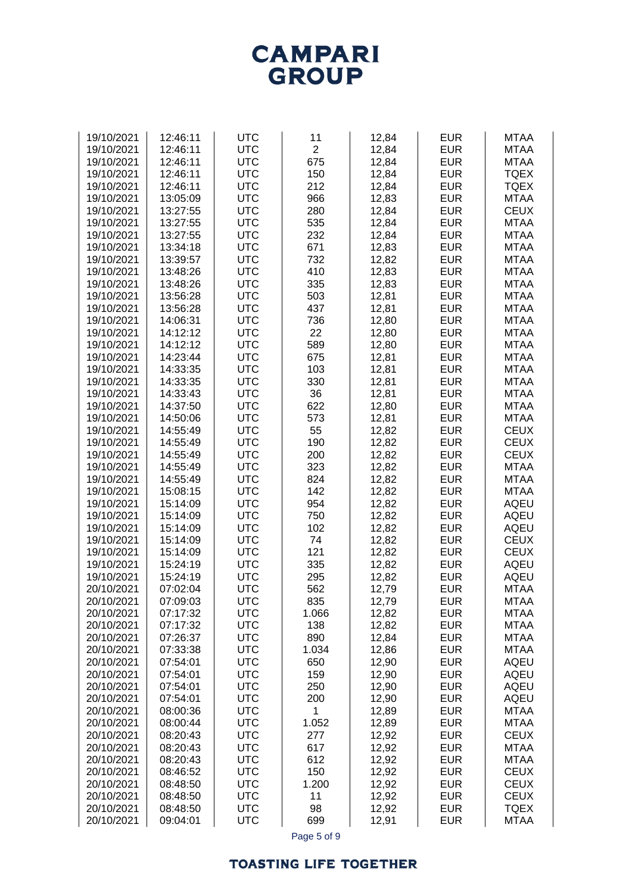# **TOASTING LIFE TOGETHER**

| 19/10/2021               | 12:46:11             | <b>UTC</b>               | 11             | 12,84          | <b>EUR</b>               | <b>MTAA</b>                |
|--------------------------|----------------------|--------------------------|----------------|----------------|--------------------------|----------------------------|
| 19/10/2021<br>19/10/2021 | 12:46:11<br>12:46:11 | <b>UTC</b><br><b>UTC</b> | $\overline{2}$ | 12,84          | <b>EUR</b><br><b>EUR</b> | <b>MTAA</b><br><b>MTAA</b> |
| 19/10/2021               | 12:46:11             | <b>UTC</b>               | 675<br>150     | 12,84<br>12,84 | <b>EUR</b>               | <b>TQEX</b>                |
| 19/10/2021               | 12:46:11             | <b>UTC</b>               | 212            | 12,84          | <b>EUR</b>               | <b>TQEX</b>                |
| 19/10/2021               | 13:05:09             | <b>UTC</b>               | 966            | 12,83          | <b>EUR</b>               | <b>MTAA</b>                |
| 19/10/2021               | 13:27:55             | <b>UTC</b>               | 280            | 12,84          | <b>EUR</b>               | <b>CEUX</b>                |
| 19/10/2021               | 13:27:55             | <b>UTC</b>               | 535            | 12,84          | <b>EUR</b>               | <b>MTAA</b>                |
| 19/10/2021               | 13:27:55             | <b>UTC</b>               | 232            | 12,84          | <b>EUR</b>               | <b>MTAA</b>                |
| 19/10/2021               | 13:34:18             | <b>UTC</b>               | 671            | 12,83          | <b>EUR</b>               | <b>MTAA</b>                |
| 19/10/2021               | 13:39:57             | <b>UTC</b>               | 732            | 12,82          | <b>EUR</b>               | <b>MTAA</b>                |
| 19/10/2021               | 13:48:26             | <b>UTC</b>               | 410            | 12,83          | <b>EUR</b>               | <b>MTAA</b>                |
| 19/10/2021               | 13:48:26             | <b>UTC</b>               | 335            | 12,83          | <b>EUR</b>               | <b>MTAA</b>                |
| 19/10/2021               | 13:56:28             | <b>UTC</b>               | 503            | 12,81          | <b>EUR</b>               | <b>MTAA</b>                |
| 19/10/2021               | 13:56:28             | <b>UTC</b>               | 437            | 12,81          | <b>EUR</b>               | <b>MTAA</b>                |
| 19/10/2021               | 14:06:31             | <b>UTC</b>               | 736            | 12,80          | <b>EUR</b>               | <b>MTAA</b>                |
| 19/10/2021               | 14:12:12             | <b>UTC</b>               | 22             | 12,80          | <b>EUR</b>               | <b>MTAA</b>                |
| 19/10/2021               | 14:12:12             | <b>UTC</b>               | 589            | 12,80          | <b>EUR</b>               | <b>MTAA</b>                |
| 19/10/2021               | 14:23:44             | <b>UTC</b>               | 675            | 12,81          | <b>EUR</b>               | <b>MTAA</b>                |
| 19/10/2021               | 14:33:35             | <b>UTC</b><br><b>UTC</b> | 103            | 12,81          | <b>EUR</b>               | <b>MTAA</b><br><b>MTAA</b> |
| 19/10/2021<br>19/10/2021 | 14:33:35<br>14:33:43 | <b>UTC</b>               | 330<br>36      | 12,81<br>12,81 | <b>EUR</b><br><b>EUR</b> | <b>MTAA</b>                |
| 19/10/2021               | 14:37:50             | <b>UTC</b>               | 622            | 12,80          | <b>EUR</b>               | <b>MTAA</b>                |
| 19/10/2021               | 14:50:06             | <b>UTC</b>               | 573            | 12,81          | <b>EUR</b>               | <b>MTAA</b>                |
| 19/10/2021               | 14:55:49             | <b>UTC</b>               | 55             | 12,82          | <b>EUR</b>               | <b>CEUX</b>                |
| 19/10/2021               | 14:55:49             | <b>UTC</b>               | 190            | 12,82          | <b>EUR</b>               | <b>CEUX</b>                |
| 19/10/2021               | 14:55:49             | <b>UTC</b>               | 200            | 12,82          | <b>EUR</b>               | <b>CEUX</b>                |
| 19/10/2021               | 14:55:49             | <b>UTC</b>               | 323            | 12,82          | <b>EUR</b>               | <b>MTAA</b>                |
| 19/10/2021               | 14:55:49             | <b>UTC</b>               | 824            | 12,82          | <b>EUR</b>               | <b>MTAA</b>                |
| 19/10/2021               | 15:08:15             | <b>UTC</b>               | 142            | 12,82          | <b>EUR</b>               | <b>MTAA</b>                |
| 19/10/2021               | 15:14:09             | <b>UTC</b>               | 954            | 12,82          | <b>EUR</b>               | <b>AQEU</b>                |
| 19/10/2021               | 15:14:09             | <b>UTC</b>               | 750            | 12,82          | <b>EUR</b>               | <b>AQEU</b>                |
| 19/10/2021               | 15:14:09             | <b>UTC</b>               | 102            | 12,82          | <b>EUR</b>               | AQEU                       |
| 19/10/2021               | 15:14:09             | <b>UTC</b>               | 74             | 12,82          | <b>EUR</b>               | <b>CEUX</b>                |
| 19/10/2021               | 15:14:09             | <b>UTC</b>               | 121            | 12,82          | <b>EUR</b>               | <b>CEUX</b>                |
| 19/10/2021               | 15:24:19             | <b>UTC</b>               | 335            | 12,82          | <b>EUR</b>               | <b>AQEU</b>                |
| 19/10/2021<br>20/10/2021 | 15:24:19<br>07:02:04 | <b>UTC</b><br><b>UTC</b> | 295            | 12,82          | <b>EUR</b><br><b>EUR</b> | AQEU<br><b>MTAA</b>        |
| 20/10/2021               | 07:09:03             | <b>UTC</b>               | 562<br>835     | 12,79<br>12,79 | <b>EUR</b>               | MTAA                       |
| 20/10/2021               | 07:17:32             | <b>UTC</b>               | 1.066          | 12,82          | <b>EUR</b>               | <b>MTAA</b>                |
| 20/10/2021               | 07:17:32             | <b>UTC</b>               | 138            | 12,82          | <b>EUR</b>               | <b>MTAA</b>                |
| 20/10/2021               | 07:26:37             | <b>UTC</b>               | 890            | 12,84          | <b>EUR</b>               | <b>MTAA</b>                |
| 20/10/2021               | 07:33:38             | <b>UTC</b>               | 1.034          | 12,86          | <b>EUR</b>               | <b>MTAA</b>                |
| 20/10/2021               | 07:54:01             | <b>UTC</b>               | 650            | 12,90          | <b>EUR</b>               | <b>AQEU</b>                |
| 20/10/2021               | 07:54:01             | <b>UTC</b>               | 159            | 12,90          | <b>EUR</b>               | <b>AQEU</b>                |
| 20/10/2021               | 07:54:01             | <b>UTC</b>               | 250            | 12,90          | <b>EUR</b>               | <b>AQEU</b>                |
| 20/10/2021               | 07:54:01             | <b>UTC</b>               | 200            | 12,90          | <b>EUR</b>               | <b>AQEU</b>                |
| 20/10/2021               | 08:00:36             | <b>UTC</b>               | 1              | 12,89          | <b>EUR</b>               | <b>MTAA</b>                |
| 20/10/2021               | 08:00:44             | <b>UTC</b>               | 1.052          | 12,89          | <b>EUR</b>               | <b>MTAA</b>                |
| 20/10/2021               | 08:20:43             | <b>UTC</b>               | 277            | 12,92          | <b>EUR</b>               | <b>CEUX</b>                |
| 20/10/2021               | 08:20:43             | <b>UTC</b>               | 617            | 12,92          | <b>EUR</b>               | <b>MTAA</b>                |
| 20/10/2021               | 08:20:43             | <b>UTC</b>               | 612            | 12,92          | <b>EUR</b>               | <b>MTAA</b>                |
| 20/10/2021<br>20/10/2021 | 08:46:52<br>08:48:50 | <b>UTC</b><br><b>UTC</b> | 150<br>1.200   | 12,92<br>12,92 | <b>EUR</b><br><b>EUR</b> | <b>CEUX</b><br><b>CEUX</b> |
| 20/10/2021               | 08:48:50             | <b>UTC</b>               | 11             | 12,92          | <b>EUR</b>               | <b>CEUX</b>                |
| 20/10/2021               | 08:48:50             | <b>UTC</b>               | 98             | 12,92          | <b>EUR</b>               | <b>TQEX</b>                |
| 20/10/2021               | 09:04:01             | <b>UTC</b>               | 699            | 12,91          | <b>EUR</b>               | <b>MTAA</b>                |
|                          |                      |                          | Page 5 of 9    |                |                          |                            |

**CAMPARI GROUP**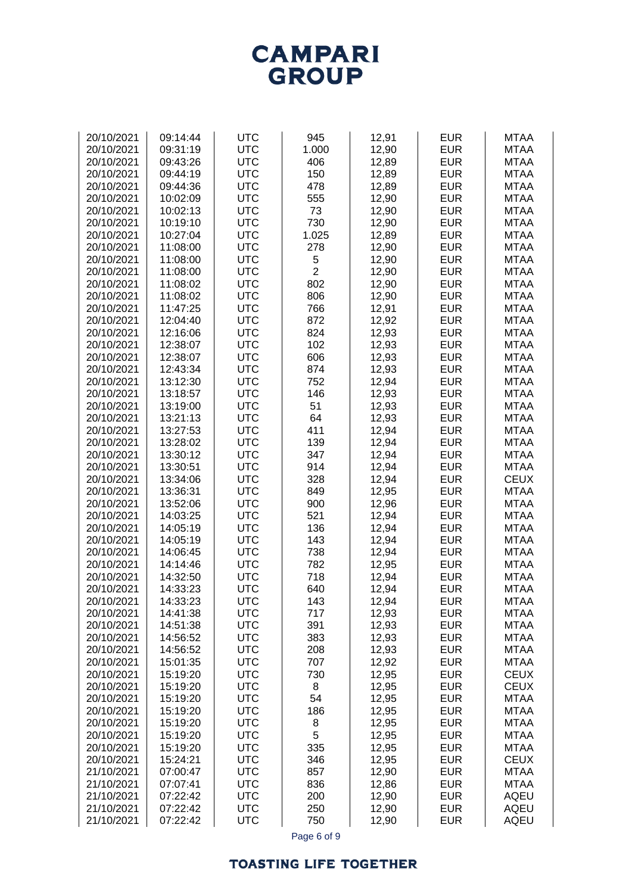| 20/10/2021 | 09:43:26 | <b>UTC</b> | 406            | 12,89          | <b>EUR</b> | <b>MTAA</b> |
|------------|----------|------------|----------------|----------------|------------|-------------|
| 20/10/2021 | 09:44:19 | <b>UTC</b> | 150            | 12,89          | <b>EUR</b> | <b>MTAA</b> |
| 20/10/2021 | 09:44:36 | <b>UTC</b> | 478            | 12,89          | <b>EUR</b> | <b>MTAA</b> |
| 20/10/2021 | 10:02:09 | <b>UTC</b> | 555            | 12,90          | <b>EUR</b> | <b>MTAA</b> |
| 20/10/2021 | 10:02:13 | <b>UTC</b> | 73             | 12,90          | <b>EUR</b> | <b>MTAA</b> |
| 20/10/2021 | 10:19:10 | <b>UTC</b> | 730            | 12,90          | <b>EUR</b> | <b>MTAA</b> |
| 20/10/2021 | 10:27:04 | <b>UTC</b> | 1.025          | 12,89          | <b>EUR</b> | <b>MTAA</b> |
| 20/10/2021 | 11:08:00 | <b>UTC</b> | 278            | 12,90          | <b>EUR</b> | <b>MTAA</b> |
| 20/10/2021 | 11:08:00 | <b>UTC</b> | 5              | 12,90          | <b>EUR</b> | <b>MTAA</b> |
| 20/10/2021 | 11:08:00 | <b>UTC</b> | $\overline{2}$ | 12,90          | <b>EUR</b> | <b>MTAA</b> |
| 20/10/2021 | 11:08:02 | <b>UTC</b> | 802            | 12,90          | <b>EUR</b> | <b>MTAA</b> |
| 20/10/2021 | 11:08:02 | <b>UTC</b> | 806            | 12,90          | <b>EUR</b> | <b>MTAA</b> |
| 20/10/2021 | 11:47:25 | <b>UTC</b> | 766            | 12,91          | <b>EUR</b> | <b>MTAA</b> |
| 20/10/2021 | 12:04:40 | <b>UTC</b> | 872            | 12,92          | <b>EUR</b> | <b>MTAA</b> |
| 20/10/2021 | 12:16:06 | <b>UTC</b> | 824            | 12,93          | <b>EUR</b> | <b>MTAA</b> |
| 20/10/2021 | 12:38:07 | <b>UTC</b> | 102            | 12,93          | <b>EUR</b> | <b>MTAA</b> |
| 20/10/2021 | 12:38:07 | <b>UTC</b> | 606            | 12,93          | <b>EUR</b> | <b>MTAA</b> |
| 20/10/2021 | 12:43:34 | <b>UTC</b> | 874            | 12,93          | <b>EUR</b> | <b>MTAA</b> |
| 20/10/2021 | 13:12:30 | <b>UTC</b> | 752            | 12,94          | <b>EUR</b> | <b>MTAA</b> |
| 20/10/2021 | 13:18:57 | <b>UTC</b> | 146            | 12,93          | <b>EUR</b> | <b>MTAA</b> |
| 20/10/2021 | 13:19:00 | <b>UTC</b> | 51             | 12,93          | <b>EUR</b> | <b>MTAA</b> |
| 20/10/2021 | 13:21:13 | <b>UTC</b> | 64             | 12,93          | <b>EUR</b> | <b>MTAA</b> |
| 20/10/2021 | 13:27:53 | <b>UTC</b> | 411            | 12,94          | <b>EUR</b> | <b>MTAA</b> |
| 20/10/2021 | 13:28:02 | <b>UTC</b> | 139            | 12,94          | <b>EUR</b> | <b>MTAA</b> |
| 20/10/2021 | 13:30:12 | <b>UTC</b> | 347            | 12,94          | <b>EUR</b> | <b>MTAA</b> |
| 20/10/2021 | 13:30:51 | <b>UTC</b> | 914            | 12,94          | <b>EUR</b> | <b>MTAA</b> |
| 20/10/2021 | 13:34:06 | <b>UTC</b> | 328            | 12,94          | <b>EUR</b> | <b>CEUX</b> |
| 20/10/2021 | 13:36:31 | <b>UTC</b> | 849            | 12,95          | <b>EUR</b> | <b>MTAA</b> |
| 20/10/2021 | 13:52:06 | <b>UTC</b> | 900            | 12,96          | <b>EUR</b> | <b>MTAA</b> |
| 20/10/2021 | 14:03:25 | <b>UTC</b> | 521            | 12,94          | <b>EUR</b> | <b>MTAA</b> |
| 20/10/2021 | 14:05:19 | <b>UTC</b> | 136            | 12,94          | <b>EUR</b> | <b>MTAA</b> |
| 20/10/2021 | 14:05:19 | <b>UTC</b> | 143            | 12,94          | <b>EUR</b> | <b>MTAA</b> |
| 20/10/2021 | 14:06:45 | <b>UTC</b> | 738            | 12,94          | <b>EUR</b> | <b>MTAA</b> |
| 20/10/2021 | 14:14:46 | <b>UTC</b> | 782            | 12,95          | <b>EUR</b> | <b>MTAA</b> |
| 20/10/2021 | 14:32:50 | <b>UTC</b> | 718            | 12,94          | <b>EUR</b> | <b>MTAA</b> |
| 20/10/2021 | 14:33:23 | <b>UTC</b> | 640            | 12,94          | <b>EUR</b> | <b>MTAA</b> |
| 20/10/2021 | 14:33:23 | <b>UTC</b> | 143            | 12,94          | <b>EUR</b> | <b>MTAA</b> |
| 20/10/2021 | 14:41:38 | <b>UTC</b> | 717            | 12,93          | <b>EUR</b> | <b>MTAA</b> |
| 20/10/2021 | 14:51:38 | <b>UTC</b> | 391            | 12,93          | <b>EUR</b> | <b>MTAA</b> |
| 20/10/2021 | 14:56:52 | <b>UTC</b> | 383            | 12,93          | <b>EUR</b> | <b>MTAA</b> |
| 20/10/2021 | 14:56:52 | <b>UTC</b> | 208            | 12,93          | <b>EUR</b> | <b>MTAA</b> |
| 20/10/2021 | 15:01:35 | <b>UTC</b> | 707            | 12,92          | <b>EUR</b> | <b>MTAA</b> |
| 20/10/2021 | 15:19:20 | <b>UTC</b> | 730            | 12,95          | <b>EUR</b> | <b>CEUX</b> |
| 20/10/2021 | 15:19:20 | <b>UTC</b> | 8              | 12,95          | <b>EUR</b> | <b>CEUX</b> |
| 20/10/2021 | 15:19:20 | <b>UTC</b> | 54             | 12,95          | <b>EUR</b> | <b>MTAA</b> |
| 20/10/2021 | 15:19:20 | <b>UTC</b> | 186            | 12,95          | <b>EUR</b> | <b>MTAA</b> |
| 20/10/2021 | 15:19:20 | <b>UTC</b> | 8              | 12,95          | <b>EUR</b> | <b>MTAA</b> |
| 20/10/2021 | 15:19:20 | <b>UTC</b> | 5              | 12,95          | <b>EUR</b> | <b>MTAA</b> |
| 20/10/2021 | 15:19:20 | <b>UTC</b> | 335            | 12,95          | <b>EUR</b> | <b>MTAA</b> |
| 20/10/2021 | 15:24:21 | <b>UTC</b> | 346            | 12,95          | <b>EUR</b> | <b>CEUX</b> |
| 21/10/2021 | 07:00:47 | <b>UTC</b> | 857            |                | <b>EUR</b> | <b>MTAA</b> |
| 21/10/2021 | 07:07:41 | <b>UTC</b> | 836            | 12,90<br>12,86 | <b>EUR</b> | <b>MTAA</b> |
| 21/10/2021 | 07:22:42 | <b>UTC</b> | 200            |                | <b>EUR</b> | AQEU        |
| 21/10/2021 | 07:22:42 | <b>UTC</b> | 250            | 12,90          | <b>EUR</b> | <b>AQEU</b> |
|            |          |            |                | 12,90          |            |             |
| 21/10/2021 | 07:22:42 | <b>UTC</b> | 750            | 12,90          | <b>EUR</b> | <b>AQEU</b> |

20/10/2021 09:14:44 UTC 945 12,91 EUR MTAA 20/10/2021 09:31:19 UTC 1.000 12,90 EUR MTAA

**CAMPARI GROUP** 

Page 6 of 9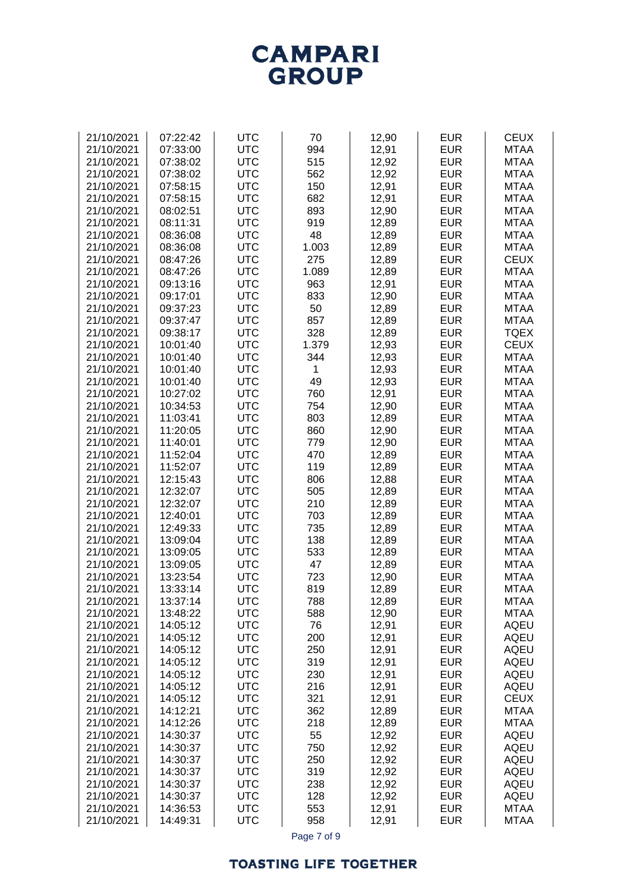# **CAMPARI**<br>GROUP

| 21/10/2021 | 07:22:42 | <b>UTC</b> | 70           | 12,90 | <b>EUR</b> | <b>CEUX</b> |
|------------|----------|------------|--------------|-------|------------|-------------|
| 21/10/2021 | 07:33:00 | <b>UTC</b> | 994          | 12,91 | <b>EUR</b> | <b>MTAA</b> |
|            |          |            |              |       |            |             |
| 21/10/2021 | 07:38:02 | <b>UTC</b> | 515          | 12,92 | <b>EUR</b> | <b>MTAA</b> |
| 21/10/2021 | 07:38:02 | <b>UTC</b> | 562          | 12,92 | <b>EUR</b> | <b>MTAA</b> |
| 21/10/2021 | 07:58:15 | <b>UTC</b> | 150          | 12,91 | <b>EUR</b> | <b>MTAA</b> |
| 21/10/2021 | 07:58:15 | <b>UTC</b> | 682          | 12,91 | <b>EUR</b> | <b>MTAA</b> |
|            |          |            |              |       |            |             |
| 21/10/2021 | 08:02:51 | <b>UTC</b> | 893          | 12,90 | <b>EUR</b> | <b>MTAA</b> |
| 21/10/2021 | 08:11:31 | <b>UTC</b> | 919          | 12,89 | <b>EUR</b> | <b>MTAA</b> |
| 21/10/2021 | 08:36:08 | <b>UTC</b> | 48           | 12,89 | <b>EUR</b> | <b>MTAA</b> |
| 21/10/2021 | 08:36:08 | <b>UTC</b> | 1.003        | 12,89 | <b>EUR</b> | <b>MTAA</b> |
|            |          |            |              |       |            |             |
| 21/10/2021 | 08:47:26 | <b>UTC</b> | 275          | 12,89 | <b>EUR</b> | <b>CEUX</b> |
| 21/10/2021 | 08:47:26 | <b>UTC</b> | 1.089        | 12,89 | <b>EUR</b> | <b>MTAA</b> |
| 21/10/2021 | 09:13:16 | <b>UTC</b> | 963          | 12,91 | <b>EUR</b> | <b>MTAA</b> |
| 21/10/2021 | 09:17:01 | <b>UTC</b> | 833          | 12,90 | <b>EUR</b> | <b>MTAA</b> |
| 21/10/2021 | 09:37:23 | <b>UTC</b> | 50           | 12,89 | <b>EUR</b> | <b>MTAA</b> |
|            |          |            |              |       |            |             |
| 21/10/2021 | 09:37:47 | <b>UTC</b> | 857          | 12,89 | <b>EUR</b> | <b>MTAA</b> |
| 21/10/2021 | 09:38:17 | <b>UTC</b> | 328          | 12,89 | <b>EUR</b> | <b>TQEX</b> |
| 21/10/2021 | 10:01:40 | <b>UTC</b> | 1.379        | 12,93 | <b>EUR</b> | <b>CEUX</b> |
| 21/10/2021 | 10:01:40 | <b>UTC</b> | 344          | 12,93 | <b>EUR</b> | <b>MTAA</b> |
| 21/10/2021 |          | <b>UTC</b> | $\mathbf{1}$ |       | <b>EUR</b> | <b>MTAA</b> |
|            | 10:01:40 |            |              | 12,93 |            |             |
| 21/10/2021 | 10:01:40 | <b>UTC</b> | 49           | 12,93 | <b>EUR</b> | <b>MTAA</b> |
| 21/10/2021 | 10:27:02 | <b>UTC</b> | 760          | 12,91 | <b>EUR</b> | <b>MTAA</b> |
| 21/10/2021 | 10:34:53 | <b>UTC</b> | 754          | 12,90 | <b>EUR</b> | <b>MTAA</b> |
| 21/10/2021 | 11:03:41 | <b>UTC</b> | 803          | 12,89 | <b>EUR</b> | <b>MTAA</b> |
| 21/10/2021 |          | <b>UTC</b> |              | 12,90 | <b>EUR</b> | <b>MTAA</b> |
|            | 11:20:05 |            | 860          |       |            |             |
| 21/10/2021 | 11:40:01 | <b>UTC</b> | 779          | 12,90 | <b>EUR</b> | <b>MTAA</b> |
| 21/10/2021 | 11:52:04 | <b>UTC</b> | 470          | 12,89 | <b>EUR</b> | <b>MTAA</b> |
| 21/10/2021 | 11:52:07 | <b>UTC</b> | 119          | 12,89 | <b>EUR</b> | <b>MTAA</b> |
| 21/10/2021 | 12:15:43 | <b>UTC</b> | 806          | 12,88 | <b>EUR</b> | <b>MTAA</b> |
| 21/10/2021 |          | <b>UTC</b> | 505          |       | <b>EUR</b> | <b>MTAA</b> |
|            | 12:32:07 |            |              | 12,89 |            |             |
| 21/10/2021 | 12:32:07 | <b>UTC</b> | 210          | 12,89 | <b>EUR</b> | <b>MTAA</b> |
| 21/10/2021 | 12:40:01 | <b>UTC</b> | 703          | 12,89 | <b>EUR</b> | <b>MTAA</b> |
| 21/10/2021 | 12:49:33 | <b>UTC</b> | 735          | 12,89 | <b>EUR</b> | <b>MTAA</b> |
| 21/10/2021 | 13:09:04 | <b>UTC</b> | 138          | 12,89 | <b>EUR</b> | <b>MTAA</b> |
| 21/10/2021 | 13:09:05 | <b>UTC</b> | 533          | 12,89 | <b>EUR</b> | <b>MTAA</b> |
|            |          |            |              |       |            |             |
| 21/10/2021 | 13:09:05 | <b>UTC</b> | 47           | 12,89 | <b>EUR</b> | <b>MTAA</b> |
| 21/10/2021 | 13:23:54 | <b>UTC</b> | 723          | 12,90 | <b>EUR</b> | <b>MTAA</b> |
| 21/10/2021 | 13:33:14 | <b>UTC</b> | 819          | 12,89 | <b>EUR</b> | <b>MTAA</b> |
| 21/10/2021 | 13:37:14 | UTC        | 788          | 12,89 | EUR        | MTAA        |
| 21/10/2021 | 13:48:22 | <b>UTC</b> | 588          | 12,90 | <b>EUR</b> | <b>MTAA</b> |
| 21/10/2021 | 14:05:12 | <b>UTC</b> | 76           |       | <b>EUR</b> | <b>AQEU</b> |
|            |          |            |              | 12,91 |            |             |
| 21/10/2021 | 14:05:12 | <b>UTC</b> | 200          | 12,91 | <b>EUR</b> | <b>AQEU</b> |
| 21/10/2021 | 14:05:12 | <b>UTC</b> | 250          | 12,91 | <b>EUR</b> | <b>AQEU</b> |
| 21/10/2021 | 14:05:12 | <b>UTC</b> | 319          | 12,91 | <b>EUR</b> | <b>AQEU</b> |
| 21/10/2021 | 14:05:12 | <b>UTC</b> | 230          | 12,91 | <b>EUR</b> | <b>AQEU</b> |
| 21/10/2021 | 14:05:12 | <b>UTC</b> | 216          | 12,91 | <b>EUR</b> | <b>AQEU</b> |
|            |          |            |              |       |            |             |
| 21/10/2021 | 14:05:12 | <b>UTC</b> | 321          | 12,91 | <b>EUR</b> | <b>CEUX</b> |
| 21/10/2021 | 14:12:21 | <b>UTC</b> | 362          | 12,89 | <b>EUR</b> | <b>MTAA</b> |
| 21/10/2021 | 14:12:26 | <b>UTC</b> | 218          | 12,89 | <b>EUR</b> | <b>MTAA</b> |
| 21/10/2021 | 14:30:37 | <b>UTC</b> | 55           | 12,92 | <b>EUR</b> | <b>AQEU</b> |
| 21/10/2021 | 14:30:37 | <b>UTC</b> | 750          | 12,92 | <b>EUR</b> | <b>AQEU</b> |
|            |          |            |              |       |            |             |
| 21/10/2021 | 14:30:37 | <b>UTC</b> | 250          | 12,92 | <b>EUR</b> | <b>AQEU</b> |
| 21/10/2021 | 14:30:37 | <b>UTC</b> | 319          | 12,92 | <b>EUR</b> | <b>AQEU</b> |
| 21/10/2021 | 14:30:37 | <b>UTC</b> | 238          | 12,92 | <b>EUR</b> | <b>AQEU</b> |
| 21/10/2021 | 14:30:37 | <b>UTC</b> | 128          | 12,92 | <b>EUR</b> | <b>AQEU</b> |
| 21/10/2021 | 14:36:53 | <b>UTC</b> | 553          | 12,91 | <b>EUR</b> | <b>MTAA</b> |
|            |          |            |              |       |            |             |
| 21/10/2021 | 14:49:31 | <b>UTC</b> | 958          | 12,91 | <b>EUR</b> | <b>MTAA</b> |

Page 7 of 9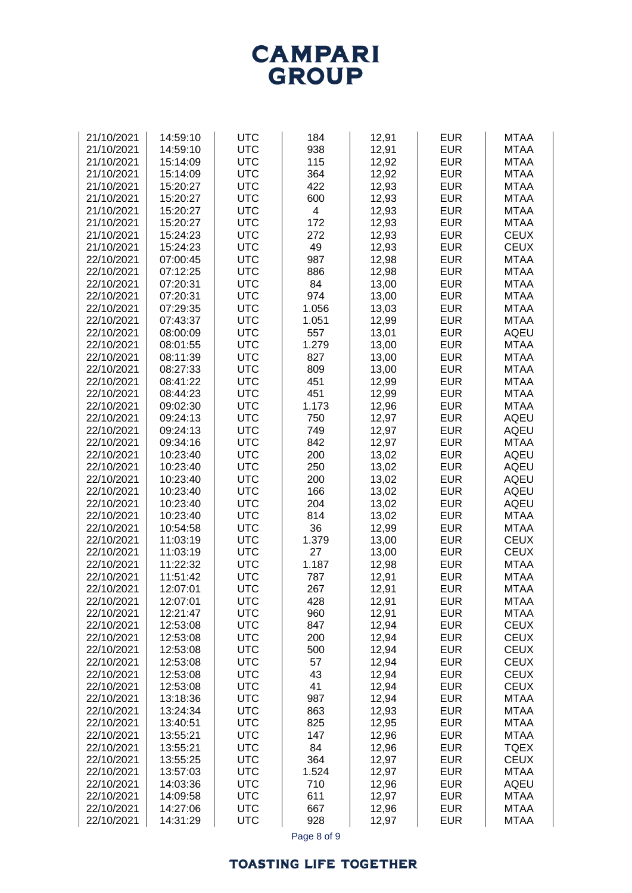

| <b>UTC</b><br>21/10/2021<br>14:59:10<br>184<br>12,91<br><b>EUR</b><br><b>MTAA</b><br><b>UTC</b><br>938<br><b>EUR</b><br>21/10/2021<br>14:59:10<br>12,91<br><b>MTAA</b><br><b>UTC</b><br>115<br><b>EUR</b><br><b>MTAA</b><br>21/10/2021<br>15:14:09<br>12,92<br>21/10/2021<br><b>UTC</b><br>364<br>12,92<br><b>EUR</b><br><b>MTAA</b><br>15:14:09<br>21/10/2021<br><b>UTC</b><br>422<br><b>EUR</b><br><b>MTAA</b><br>15:20:27<br>12,93<br>21/10/2021<br><b>UTC</b><br>600<br>12,93<br><b>EUR</b><br><b>MTAA</b><br>15:20:27<br>15:20:27<br><b>UTC</b><br>4<br>12,93<br><b>EUR</b><br>21/10/2021<br><b>MTAA</b><br><b>UTC</b><br>172<br>12,93<br><b>EUR</b><br>21/10/2021<br>15:20:27<br><b>MTAA</b><br><b>UTC</b><br>272<br>12,93<br><b>EUR</b><br><b>CEUX</b><br>21/10/2021<br>15:24:23<br>49<br><b>UTC</b><br>12,93<br><b>EUR</b><br><b>CEUX</b><br>21/10/2021<br>15:24:23<br><b>UTC</b><br><b>EUR</b><br>22/10/2021<br>07:00:45<br>987<br>12,98<br><b>MTAA</b><br>07:12:25<br><b>UTC</b><br><b>EUR</b><br><b>MTAA</b><br>22/10/2021<br>886<br>12,98<br>07:20:31<br><b>UTC</b><br>84<br><b>EUR</b><br><b>MTAA</b><br>22/10/2021<br>13,00<br>974<br><b>EUR</b><br>22/10/2021<br>07:20:31<br><b>UTC</b><br>13,00<br><b>MTAA</b><br><b>UTC</b><br>1.056<br><b>EUR</b><br><b>MTAA</b><br>22/10/2021<br>07:29:35<br>13,03<br>22/10/2021<br><b>UTC</b><br>1.051<br><b>EUR</b><br><b>MTAA</b><br>07:43:37<br>12,99<br><b>UTC</b><br><b>EUR</b><br>22/10/2021<br>557<br><b>AQEU</b><br>08:00:09<br>13,01<br>22/10/2021<br><b>UTC</b><br>1.279<br><b>EUR</b><br><b>MTAA</b><br>08:01:55<br>13,00<br>22/10/2021<br>08:11:39<br><b>UTC</b><br>827<br>13,00<br><b>EUR</b><br><b>MTAA</b><br><b>UTC</b><br>809<br><b>EUR</b><br>22/10/2021<br>08:27:33<br>13,00<br><b>MTAA</b><br>08:41:22<br><b>UTC</b><br>451<br>12,99<br><b>EUR</b><br><b>MTAA</b><br>22/10/2021<br><b>UTC</b><br>08:44:23<br>451<br>12,99<br><b>EUR</b><br><b>MTAA</b><br>22/10/2021<br><b>UTC</b><br><b>EUR</b><br><b>MTAA</b><br>22/10/2021<br>09:02:30<br>1.173<br>12,96<br>09:24:13<br><b>UTC</b><br>750<br><b>EUR</b><br><b>AQEU</b><br>22/10/2021<br>12,97<br>09:24:13<br><b>UTC</b><br>749<br>12,97<br><b>EUR</b><br><b>AQEU</b><br>22/10/2021<br><b>EUR</b><br><b>MTAA</b><br>22/10/2021<br>09:34:16<br><b>UTC</b><br>842<br>12,97<br><b>UTC</b><br>200<br><b>EUR</b><br><b>AQEU</b><br>22/10/2021<br>10:23:40<br>13,02<br>22/10/2021<br>10:23:40<br><b>UTC</b><br>250<br>13,02<br><b>EUR</b><br><b>AQEU</b><br><b>UTC</b><br><b>EUR</b><br><b>AQEU</b><br>22/10/2021<br>10:23:40<br>200<br>13,02<br><b>UTC</b><br>166<br><b>EUR</b><br><b>AQEU</b><br>22/10/2021<br>10:23:40<br>13,02<br>22/10/2021<br>10:23:40<br><b>UTC</b><br>204<br>13,02<br><b>EUR</b><br><b>AQEU</b><br>10:23:40<br><b>UTC</b><br>814<br><b>EUR</b><br><b>MTAA</b><br>22/10/2021<br>13,02<br><b>UTC</b><br>36<br>12,99<br><b>EUR</b><br><b>MTAA</b><br>22/10/2021<br>10:54:58<br>11:03:19<br><b>UTC</b><br>1.379<br><b>EUR</b><br><b>CEUX</b><br>22/10/2021<br>13,00<br><b>UTC</b><br>27<br><b>EUR</b><br><b>CEUX</b><br>22/10/2021<br>11:03:19<br>13,00<br>11:22:32<br><b>UTC</b><br>1.187<br><b>EUR</b><br><b>MTAA</b><br>22/10/2021<br>12,98<br><b>EUR</b><br>22/10/2021<br>11:51:42<br><b>UTC</b><br>787<br>12,91<br><b>MTAA</b><br>22/10/2021<br>12:07:01<br><b>UTC</b><br>267<br>12,91<br><b>EUR</b><br><b>MTAA</b><br>22/10/2021<br>12:07:01<br>UTC<br>428<br>12,91<br>EUR<br>MTAA<br><b>UTC</b><br><b>EUR</b><br>22/10/2021<br>12:21:47<br>960<br>12,91<br><b>MTAA</b><br><b>UTC</b><br>847<br><b>EUR</b><br><b>CEUX</b><br>22/10/2021<br>12:53:08<br>12,94<br><b>UTC</b><br>200<br><b>EUR</b><br>22/10/2021<br>12:53:08<br>12,94<br><b>CEUX</b><br><b>UTC</b><br><b>EUR</b><br>22/10/2021<br>12:53:08<br>500<br>12,94<br><b>CEUX</b><br><b>UTC</b><br><b>EUR</b><br><b>CEUX</b><br>22/10/2021<br>12:53:08<br>57<br>12,94<br><b>UTC</b><br>43<br>12,94<br><b>EUR</b><br><b>CEUX</b><br>22/10/2021<br>12:53:08<br><b>UTC</b><br><b>EUR</b><br><b>CEUX</b><br>22/10/2021<br>12:53:08<br>41<br>12,94<br><b>UTC</b><br><b>EUR</b><br>22/10/2021<br>13:18:36<br>987<br>12,94<br><b>MTAA</b><br><b>UTC</b><br><b>EUR</b><br><b>MTAA</b><br>22/10/2021<br>13:24:34<br>863<br>12,93<br><b>EUR</b><br>22/10/2021<br>13:40:51<br><b>UTC</b><br>825<br>12,95<br><b>MTAA</b><br>22/10/2021<br>13:55:21<br><b>UTC</b><br>147<br>12,96<br><b>EUR</b><br><b>MTAA</b><br>84<br><b>EUR</b><br><b>TQEX</b><br>22/10/2021<br>13:55:21<br><b>UTC</b><br>12,96<br><b>UTC</b><br>364<br><b>EUR</b><br><b>CEUX</b><br>22/10/2021<br>13:55:25<br>12,97<br><b>UTC</b><br>1.524<br><b>EUR</b><br>22/10/2021<br>13:57:03<br><b>MTAA</b><br>12,97<br>22/10/2021<br><b>UTC</b><br>710<br><b>EUR</b><br>14:03:36<br>12,96<br><b>AQEU</b><br><b>UTC</b><br>611<br><b>EUR</b><br>22/10/2021<br>14:09:58<br>12,97<br><b>MTAA</b><br>22/10/2021<br><b>UTC</b><br><b>EUR</b><br>14:27:06<br>667<br>12,96<br><b>MTAA</b><br>22/10/2021<br><b>EUR</b><br>14:31:29<br><b>UTC</b><br>928<br>12,97<br><b>MTAA</b> |  |  |  |  |
|--------------------------------------------------------------------------------------------------------------------------------------------------------------------------------------------------------------------------------------------------------------------------------------------------------------------------------------------------------------------------------------------------------------------------------------------------------------------------------------------------------------------------------------------------------------------------------------------------------------------------------------------------------------------------------------------------------------------------------------------------------------------------------------------------------------------------------------------------------------------------------------------------------------------------------------------------------------------------------------------------------------------------------------------------------------------------------------------------------------------------------------------------------------------------------------------------------------------------------------------------------------------------------------------------------------------------------------------------------------------------------------------------------------------------------------------------------------------------------------------------------------------------------------------------------------------------------------------------------------------------------------------------------------------------------------------------------------------------------------------------------------------------------------------------------------------------------------------------------------------------------------------------------------------------------------------------------------------------------------------------------------------------------------------------------------------------------------------------------------------------------------------------------------------------------------------------------------------------------------------------------------------------------------------------------------------------------------------------------------------------------------------------------------------------------------------------------------------------------------------------------------------------------------------------------------------------------------------------------------------------------------------------------------------------------------------------------------------------------------------------------------------------------------------------------------------------------------------------------------------------------------------------------------------------------------------------------------------------------------------------------------------------------------------------------------------------------------------------------------------------------------------------------------------------------------------------------------------------------------------------------------------------------------------------------------------------------------------------------------------------------------------------------------------------------------------------------------------------------------------------------------------------------------------------------------------------------------------------------------------------------------------------------------------------------------------------------------------------------------------------------------------------------------------------------------------------------------------------------------------------------------------------------------------------------------------------------------------------------------------------------------------------------------------------------------------------------------------------------------------------------------------------------------------------------------------------------------------------------------------------------------------------------------------------------------------------------------------------------------------------------------------------------------------------------------------------------------------------------------------------------------------------------------------------------------------------------------------------------------------------------------------------------------------------------------------------------------------------------------------------------------------------------------------------------------------------------------------------------------------------------------------------------------------------------------------------------------------------------------------------------------------------|--|--|--|--|
|                                                                                                                                                                                                                                                                                                                                                                                                                                                                                                                                                                                                                                                                                                                                                                                                                                                                                                                                                                                                                                                                                                                                                                                                                                                                                                                                                                                                                                                                                                                                                                                                                                                                                                                                                                                                                                                                                                                                                                                                                                                                                                                                                                                                                                                                                                                                                                                                                                                                                                                                                                                                                                                                                                                                                                                                                                                                                                                                                                                                                                                                                                                                                                                                                                                                                                                                                                                                                                                                                                                                                                                                                                                                                                                                                                                                                                                                                                                                                                                                                                                                                                                                                                                                                                                                                                                                                                                                                                                                                                                                                                                                                                                                                                                                                                                                                                                                                                                                                                                                                          |  |  |  |  |
|                                                                                                                                                                                                                                                                                                                                                                                                                                                                                                                                                                                                                                                                                                                                                                                                                                                                                                                                                                                                                                                                                                                                                                                                                                                                                                                                                                                                                                                                                                                                                                                                                                                                                                                                                                                                                                                                                                                                                                                                                                                                                                                                                                                                                                                                                                                                                                                                                                                                                                                                                                                                                                                                                                                                                                                                                                                                                                                                                                                                                                                                                                                                                                                                                                                                                                                                                                                                                                                                                                                                                                                                                                                                                                                                                                                                                                                                                                                                                                                                                                                                                                                                                                                                                                                                                                                                                                                                                                                                                                                                                                                                                                                                                                                                                                                                                                                                                                                                                                                                                          |  |  |  |  |
|                                                                                                                                                                                                                                                                                                                                                                                                                                                                                                                                                                                                                                                                                                                                                                                                                                                                                                                                                                                                                                                                                                                                                                                                                                                                                                                                                                                                                                                                                                                                                                                                                                                                                                                                                                                                                                                                                                                                                                                                                                                                                                                                                                                                                                                                                                                                                                                                                                                                                                                                                                                                                                                                                                                                                                                                                                                                                                                                                                                                                                                                                                                                                                                                                                                                                                                                                                                                                                                                                                                                                                                                                                                                                                                                                                                                                                                                                                                                                                                                                                                                                                                                                                                                                                                                                                                                                                                                                                                                                                                                                                                                                                                                                                                                                                                                                                                                                                                                                                                                                          |  |  |  |  |
|                                                                                                                                                                                                                                                                                                                                                                                                                                                                                                                                                                                                                                                                                                                                                                                                                                                                                                                                                                                                                                                                                                                                                                                                                                                                                                                                                                                                                                                                                                                                                                                                                                                                                                                                                                                                                                                                                                                                                                                                                                                                                                                                                                                                                                                                                                                                                                                                                                                                                                                                                                                                                                                                                                                                                                                                                                                                                                                                                                                                                                                                                                                                                                                                                                                                                                                                                                                                                                                                                                                                                                                                                                                                                                                                                                                                                                                                                                                                                                                                                                                                                                                                                                                                                                                                                                                                                                                                                                                                                                                                                                                                                                                                                                                                                                                                                                                                                                                                                                                                                          |  |  |  |  |
|                                                                                                                                                                                                                                                                                                                                                                                                                                                                                                                                                                                                                                                                                                                                                                                                                                                                                                                                                                                                                                                                                                                                                                                                                                                                                                                                                                                                                                                                                                                                                                                                                                                                                                                                                                                                                                                                                                                                                                                                                                                                                                                                                                                                                                                                                                                                                                                                                                                                                                                                                                                                                                                                                                                                                                                                                                                                                                                                                                                                                                                                                                                                                                                                                                                                                                                                                                                                                                                                                                                                                                                                                                                                                                                                                                                                                                                                                                                                                                                                                                                                                                                                                                                                                                                                                                                                                                                                                                                                                                                                                                                                                                                                                                                                                                                                                                                                                                                                                                                                                          |  |  |  |  |
|                                                                                                                                                                                                                                                                                                                                                                                                                                                                                                                                                                                                                                                                                                                                                                                                                                                                                                                                                                                                                                                                                                                                                                                                                                                                                                                                                                                                                                                                                                                                                                                                                                                                                                                                                                                                                                                                                                                                                                                                                                                                                                                                                                                                                                                                                                                                                                                                                                                                                                                                                                                                                                                                                                                                                                                                                                                                                                                                                                                                                                                                                                                                                                                                                                                                                                                                                                                                                                                                                                                                                                                                                                                                                                                                                                                                                                                                                                                                                                                                                                                                                                                                                                                                                                                                                                                                                                                                                                                                                                                                                                                                                                                                                                                                                                                                                                                                                                                                                                                                                          |  |  |  |  |
|                                                                                                                                                                                                                                                                                                                                                                                                                                                                                                                                                                                                                                                                                                                                                                                                                                                                                                                                                                                                                                                                                                                                                                                                                                                                                                                                                                                                                                                                                                                                                                                                                                                                                                                                                                                                                                                                                                                                                                                                                                                                                                                                                                                                                                                                                                                                                                                                                                                                                                                                                                                                                                                                                                                                                                                                                                                                                                                                                                                                                                                                                                                                                                                                                                                                                                                                                                                                                                                                                                                                                                                                                                                                                                                                                                                                                                                                                                                                                                                                                                                                                                                                                                                                                                                                                                                                                                                                                                                                                                                                                                                                                                                                                                                                                                                                                                                                                                                                                                                                                          |  |  |  |  |
|                                                                                                                                                                                                                                                                                                                                                                                                                                                                                                                                                                                                                                                                                                                                                                                                                                                                                                                                                                                                                                                                                                                                                                                                                                                                                                                                                                                                                                                                                                                                                                                                                                                                                                                                                                                                                                                                                                                                                                                                                                                                                                                                                                                                                                                                                                                                                                                                                                                                                                                                                                                                                                                                                                                                                                                                                                                                                                                                                                                                                                                                                                                                                                                                                                                                                                                                                                                                                                                                                                                                                                                                                                                                                                                                                                                                                                                                                                                                                                                                                                                                                                                                                                                                                                                                                                                                                                                                                                                                                                                                                                                                                                                                                                                                                                                                                                                                                                                                                                                                                          |  |  |  |  |
|                                                                                                                                                                                                                                                                                                                                                                                                                                                                                                                                                                                                                                                                                                                                                                                                                                                                                                                                                                                                                                                                                                                                                                                                                                                                                                                                                                                                                                                                                                                                                                                                                                                                                                                                                                                                                                                                                                                                                                                                                                                                                                                                                                                                                                                                                                                                                                                                                                                                                                                                                                                                                                                                                                                                                                                                                                                                                                                                                                                                                                                                                                                                                                                                                                                                                                                                                                                                                                                                                                                                                                                                                                                                                                                                                                                                                                                                                                                                                                                                                                                                                                                                                                                                                                                                                                                                                                                                                                                                                                                                                                                                                                                                                                                                                                                                                                                                                                                                                                                                                          |  |  |  |  |
|                                                                                                                                                                                                                                                                                                                                                                                                                                                                                                                                                                                                                                                                                                                                                                                                                                                                                                                                                                                                                                                                                                                                                                                                                                                                                                                                                                                                                                                                                                                                                                                                                                                                                                                                                                                                                                                                                                                                                                                                                                                                                                                                                                                                                                                                                                                                                                                                                                                                                                                                                                                                                                                                                                                                                                                                                                                                                                                                                                                                                                                                                                                                                                                                                                                                                                                                                                                                                                                                                                                                                                                                                                                                                                                                                                                                                                                                                                                                                                                                                                                                                                                                                                                                                                                                                                                                                                                                                                                                                                                                                                                                                                                                                                                                                                                                                                                                                                                                                                                                                          |  |  |  |  |
|                                                                                                                                                                                                                                                                                                                                                                                                                                                                                                                                                                                                                                                                                                                                                                                                                                                                                                                                                                                                                                                                                                                                                                                                                                                                                                                                                                                                                                                                                                                                                                                                                                                                                                                                                                                                                                                                                                                                                                                                                                                                                                                                                                                                                                                                                                                                                                                                                                                                                                                                                                                                                                                                                                                                                                                                                                                                                                                                                                                                                                                                                                                                                                                                                                                                                                                                                                                                                                                                                                                                                                                                                                                                                                                                                                                                                                                                                                                                                                                                                                                                                                                                                                                                                                                                                                                                                                                                                                                                                                                                                                                                                                                                                                                                                                                                                                                                                                                                                                                                                          |  |  |  |  |
|                                                                                                                                                                                                                                                                                                                                                                                                                                                                                                                                                                                                                                                                                                                                                                                                                                                                                                                                                                                                                                                                                                                                                                                                                                                                                                                                                                                                                                                                                                                                                                                                                                                                                                                                                                                                                                                                                                                                                                                                                                                                                                                                                                                                                                                                                                                                                                                                                                                                                                                                                                                                                                                                                                                                                                                                                                                                                                                                                                                                                                                                                                                                                                                                                                                                                                                                                                                                                                                                                                                                                                                                                                                                                                                                                                                                                                                                                                                                                                                                                                                                                                                                                                                                                                                                                                                                                                                                                                                                                                                                                                                                                                                                                                                                                                                                                                                                                                                                                                                                                          |  |  |  |  |
|                                                                                                                                                                                                                                                                                                                                                                                                                                                                                                                                                                                                                                                                                                                                                                                                                                                                                                                                                                                                                                                                                                                                                                                                                                                                                                                                                                                                                                                                                                                                                                                                                                                                                                                                                                                                                                                                                                                                                                                                                                                                                                                                                                                                                                                                                                                                                                                                                                                                                                                                                                                                                                                                                                                                                                                                                                                                                                                                                                                                                                                                                                                                                                                                                                                                                                                                                                                                                                                                                                                                                                                                                                                                                                                                                                                                                                                                                                                                                                                                                                                                                                                                                                                                                                                                                                                                                                                                                                                                                                                                                                                                                                                                                                                                                                                                                                                                                                                                                                                                                          |  |  |  |  |
|                                                                                                                                                                                                                                                                                                                                                                                                                                                                                                                                                                                                                                                                                                                                                                                                                                                                                                                                                                                                                                                                                                                                                                                                                                                                                                                                                                                                                                                                                                                                                                                                                                                                                                                                                                                                                                                                                                                                                                                                                                                                                                                                                                                                                                                                                                                                                                                                                                                                                                                                                                                                                                                                                                                                                                                                                                                                                                                                                                                                                                                                                                                                                                                                                                                                                                                                                                                                                                                                                                                                                                                                                                                                                                                                                                                                                                                                                                                                                                                                                                                                                                                                                                                                                                                                                                                                                                                                                                                                                                                                                                                                                                                                                                                                                                                                                                                                                                                                                                                                                          |  |  |  |  |
|                                                                                                                                                                                                                                                                                                                                                                                                                                                                                                                                                                                                                                                                                                                                                                                                                                                                                                                                                                                                                                                                                                                                                                                                                                                                                                                                                                                                                                                                                                                                                                                                                                                                                                                                                                                                                                                                                                                                                                                                                                                                                                                                                                                                                                                                                                                                                                                                                                                                                                                                                                                                                                                                                                                                                                                                                                                                                                                                                                                                                                                                                                                                                                                                                                                                                                                                                                                                                                                                                                                                                                                                                                                                                                                                                                                                                                                                                                                                                                                                                                                                                                                                                                                                                                                                                                                                                                                                                                                                                                                                                                                                                                                                                                                                                                                                                                                                                                                                                                                                                          |  |  |  |  |
|                                                                                                                                                                                                                                                                                                                                                                                                                                                                                                                                                                                                                                                                                                                                                                                                                                                                                                                                                                                                                                                                                                                                                                                                                                                                                                                                                                                                                                                                                                                                                                                                                                                                                                                                                                                                                                                                                                                                                                                                                                                                                                                                                                                                                                                                                                                                                                                                                                                                                                                                                                                                                                                                                                                                                                                                                                                                                                                                                                                                                                                                                                                                                                                                                                                                                                                                                                                                                                                                                                                                                                                                                                                                                                                                                                                                                                                                                                                                                                                                                                                                                                                                                                                                                                                                                                                                                                                                                                                                                                                                                                                                                                                                                                                                                                                                                                                                                                                                                                                                                          |  |  |  |  |
|                                                                                                                                                                                                                                                                                                                                                                                                                                                                                                                                                                                                                                                                                                                                                                                                                                                                                                                                                                                                                                                                                                                                                                                                                                                                                                                                                                                                                                                                                                                                                                                                                                                                                                                                                                                                                                                                                                                                                                                                                                                                                                                                                                                                                                                                                                                                                                                                                                                                                                                                                                                                                                                                                                                                                                                                                                                                                                                                                                                                                                                                                                                                                                                                                                                                                                                                                                                                                                                                                                                                                                                                                                                                                                                                                                                                                                                                                                                                                                                                                                                                                                                                                                                                                                                                                                                                                                                                                                                                                                                                                                                                                                                                                                                                                                                                                                                                                                                                                                                                                          |  |  |  |  |
|                                                                                                                                                                                                                                                                                                                                                                                                                                                                                                                                                                                                                                                                                                                                                                                                                                                                                                                                                                                                                                                                                                                                                                                                                                                                                                                                                                                                                                                                                                                                                                                                                                                                                                                                                                                                                                                                                                                                                                                                                                                                                                                                                                                                                                                                                                                                                                                                                                                                                                                                                                                                                                                                                                                                                                                                                                                                                                                                                                                                                                                                                                                                                                                                                                                                                                                                                                                                                                                                                                                                                                                                                                                                                                                                                                                                                                                                                                                                                                                                                                                                                                                                                                                                                                                                                                                                                                                                                                                                                                                                                                                                                                                                                                                                                                                                                                                                                                                                                                                                                          |  |  |  |  |
|                                                                                                                                                                                                                                                                                                                                                                                                                                                                                                                                                                                                                                                                                                                                                                                                                                                                                                                                                                                                                                                                                                                                                                                                                                                                                                                                                                                                                                                                                                                                                                                                                                                                                                                                                                                                                                                                                                                                                                                                                                                                                                                                                                                                                                                                                                                                                                                                                                                                                                                                                                                                                                                                                                                                                                                                                                                                                                                                                                                                                                                                                                                                                                                                                                                                                                                                                                                                                                                                                                                                                                                                                                                                                                                                                                                                                                                                                                                                                                                                                                                                                                                                                                                                                                                                                                                                                                                                                                                                                                                                                                                                                                                                                                                                                                                                                                                                                                                                                                                                                          |  |  |  |  |
|                                                                                                                                                                                                                                                                                                                                                                                                                                                                                                                                                                                                                                                                                                                                                                                                                                                                                                                                                                                                                                                                                                                                                                                                                                                                                                                                                                                                                                                                                                                                                                                                                                                                                                                                                                                                                                                                                                                                                                                                                                                                                                                                                                                                                                                                                                                                                                                                                                                                                                                                                                                                                                                                                                                                                                                                                                                                                                                                                                                                                                                                                                                                                                                                                                                                                                                                                                                                                                                                                                                                                                                                                                                                                                                                                                                                                                                                                                                                                                                                                                                                                                                                                                                                                                                                                                                                                                                                                                                                                                                                                                                                                                                                                                                                                                                                                                                                                                                                                                                                                          |  |  |  |  |
|                                                                                                                                                                                                                                                                                                                                                                                                                                                                                                                                                                                                                                                                                                                                                                                                                                                                                                                                                                                                                                                                                                                                                                                                                                                                                                                                                                                                                                                                                                                                                                                                                                                                                                                                                                                                                                                                                                                                                                                                                                                                                                                                                                                                                                                                                                                                                                                                                                                                                                                                                                                                                                                                                                                                                                                                                                                                                                                                                                                                                                                                                                                                                                                                                                                                                                                                                                                                                                                                                                                                                                                                                                                                                                                                                                                                                                                                                                                                                                                                                                                                                                                                                                                                                                                                                                                                                                                                                                                                                                                                                                                                                                                                                                                                                                                                                                                                                                                                                                                                                          |  |  |  |  |
|                                                                                                                                                                                                                                                                                                                                                                                                                                                                                                                                                                                                                                                                                                                                                                                                                                                                                                                                                                                                                                                                                                                                                                                                                                                                                                                                                                                                                                                                                                                                                                                                                                                                                                                                                                                                                                                                                                                                                                                                                                                                                                                                                                                                                                                                                                                                                                                                                                                                                                                                                                                                                                                                                                                                                                                                                                                                                                                                                                                                                                                                                                                                                                                                                                                                                                                                                                                                                                                                                                                                                                                                                                                                                                                                                                                                                                                                                                                                                                                                                                                                                                                                                                                                                                                                                                                                                                                                                                                                                                                                                                                                                                                                                                                                                                                                                                                                                                                                                                                                                          |  |  |  |  |
|                                                                                                                                                                                                                                                                                                                                                                                                                                                                                                                                                                                                                                                                                                                                                                                                                                                                                                                                                                                                                                                                                                                                                                                                                                                                                                                                                                                                                                                                                                                                                                                                                                                                                                                                                                                                                                                                                                                                                                                                                                                                                                                                                                                                                                                                                                                                                                                                                                                                                                                                                                                                                                                                                                                                                                                                                                                                                                                                                                                                                                                                                                                                                                                                                                                                                                                                                                                                                                                                                                                                                                                                                                                                                                                                                                                                                                                                                                                                                                                                                                                                                                                                                                                                                                                                                                                                                                                                                                                                                                                                                                                                                                                                                                                                                                                                                                                                                                                                                                                                                          |  |  |  |  |
|                                                                                                                                                                                                                                                                                                                                                                                                                                                                                                                                                                                                                                                                                                                                                                                                                                                                                                                                                                                                                                                                                                                                                                                                                                                                                                                                                                                                                                                                                                                                                                                                                                                                                                                                                                                                                                                                                                                                                                                                                                                                                                                                                                                                                                                                                                                                                                                                                                                                                                                                                                                                                                                                                                                                                                                                                                                                                                                                                                                                                                                                                                                                                                                                                                                                                                                                                                                                                                                                                                                                                                                                                                                                                                                                                                                                                                                                                                                                                                                                                                                                                                                                                                                                                                                                                                                                                                                                                                                                                                                                                                                                                                                                                                                                                                                                                                                                                                                                                                                                                          |  |  |  |  |
|                                                                                                                                                                                                                                                                                                                                                                                                                                                                                                                                                                                                                                                                                                                                                                                                                                                                                                                                                                                                                                                                                                                                                                                                                                                                                                                                                                                                                                                                                                                                                                                                                                                                                                                                                                                                                                                                                                                                                                                                                                                                                                                                                                                                                                                                                                                                                                                                                                                                                                                                                                                                                                                                                                                                                                                                                                                                                                                                                                                                                                                                                                                                                                                                                                                                                                                                                                                                                                                                                                                                                                                                                                                                                                                                                                                                                                                                                                                                                                                                                                                                                                                                                                                                                                                                                                                                                                                                                                                                                                                                                                                                                                                                                                                                                                                                                                                                                                                                                                                                                          |  |  |  |  |
|                                                                                                                                                                                                                                                                                                                                                                                                                                                                                                                                                                                                                                                                                                                                                                                                                                                                                                                                                                                                                                                                                                                                                                                                                                                                                                                                                                                                                                                                                                                                                                                                                                                                                                                                                                                                                                                                                                                                                                                                                                                                                                                                                                                                                                                                                                                                                                                                                                                                                                                                                                                                                                                                                                                                                                                                                                                                                                                                                                                                                                                                                                                                                                                                                                                                                                                                                                                                                                                                                                                                                                                                                                                                                                                                                                                                                                                                                                                                                                                                                                                                                                                                                                                                                                                                                                                                                                                                                                                                                                                                                                                                                                                                                                                                                                                                                                                                                                                                                                                                                          |  |  |  |  |
|                                                                                                                                                                                                                                                                                                                                                                                                                                                                                                                                                                                                                                                                                                                                                                                                                                                                                                                                                                                                                                                                                                                                                                                                                                                                                                                                                                                                                                                                                                                                                                                                                                                                                                                                                                                                                                                                                                                                                                                                                                                                                                                                                                                                                                                                                                                                                                                                                                                                                                                                                                                                                                                                                                                                                                                                                                                                                                                                                                                                                                                                                                                                                                                                                                                                                                                                                                                                                                                                                                                                                                                                                                                                                                                                                                                                                                                                                                                                                                                                                                                                                                                                                                                                                                                                                                                                                                                                                                                                                                                                                                                                                                                                                                                                                                                                                                                                                                                                                                                                                          |  |  |  |  |
|                                                                                                                                                                                                                                                                                                                                                                                                                                                                                                                                                                                                                                                                                                                                                                                                                                                                                                                                                                                                                                                                                                                                                                                                                                                                                                                                                                                                                                                                                                                                                                                                                                                                                                                                                                                                                                                                                                                                                                                                                                                                                                                                                                                                                                                                                                                                                                                                                                                                                                                                                                                                                                                                                                                                                                                                                                                                                                                                                                                                                                                                                                                                                                                                                                                                                                                                                                                                                                                                                                                                                                                                                                                                                                                                                                                                                                                                                                                                                                                                                                                                                                                                                                                                                                                                                                                                                                                                                                                                                                                                                                                                                                                                                                                                                                                                                                                                                                                                                                                                                          |  |  |  |  |
|                                                                                                                                                                                                                                                                                                                                                                                                                                                                                                                                                                                                                                                                                                                                                                                                                                                                                                                                                                                                                                                                                                                                                                                                                                                                                                                                                                                                                                                                                                                                                                                                                                                                                                                                                                                                                                                                                                                                                                                                                                                                                                                                                                                                                                                                                                                                                                                                                                                                                                                                                                                                                                                                                                                                                                                                                                                                                                                                                                                                                                                                                                                                                                                                                                                                                                                                                                                                                                                                                                                                                                                                                                                                                                                                                                                                                                                                                                                                                                                                                                                                                                                                                                                                                                                                                                                                                                                                                                                                                                                                                                                                                                                                                                                                                                                                                                                                                                                                                                                                                          |  |  |  |  |
|                                                                                                                                                                                                                                                                                                                                                                                                                                                                                                                                                                                                                                                                                                                                                                                                                                                                                                                                                                                                                                                                                                                                                                                                                                                                                                                                                                                                                                                                                                                                                                                                                                                                                                                                                                                                                                                                                                                                                                                                                                                                                                                                                                                                                                                                                                                                                                                                                                                                                                                                                                                                                                                                                                                                                                                                                                                                                                                                                                                                                                                                                                                                                                                                                                                                                                                                                                                                                                                                                                                                                                                                                                                                                                                                                                                                                                                                                                                                                                                                                                                                                                                                                                                                                                                                                                                                                                                                                                                                                                                                                                                                                                                                                                                                                                                                                                                                                                                                                                                                                          |  |  |  |  |
|                                                                                                                                                                                                                                                                                                                                                                                                                                                                                                                                                                                                                                                                                                                                                                                                                                                                                                                                                                                                                                                                                                                                                                                                                                                                                                                                                                                                                                                                                                                                                                                                                                                                                                                                                                                                                                                                                                                                                                                                                                                                                                                                                                                                                                                                                                                                                                                                                                                                                                                                                                                                                                                                                                                                                                                                                                                                                                                                                                                                                                                                                                                                                                                                                                                                                                                                                                                                                                                                                                                                                                                                                                                                                                                                                                                                                                                                                                                                                                                                                                                                                                                                                                                                                                                                                                                                                                                                                                                                                                                                                                                                                                                                                                                                                                                                                                                                                                                                                                                                                          |  |  |  |  |
|                                                                                                                                                                                                                                                                                                                                                                                                                                                                                                                                                                                                                                                                                                                                                                                                                                                                                                                                                                                                                                                                                                                                                                                                                                                                                                                                                                                                                                                                                                                                                                                                                                                                                                                                                                                                                                                                                                                                                                                                                                                                                                                                                                                                                                                                                                                                                                                                                                                                                                                                                                                                                                                                                                                                                                                                                                                                                                                                                                                                                                                                                                                                                                                                                                                                                                                                                                                                                                                                                                                                                                                                                                                                                                                                                                                                                                                                                                                                                                                                                                                                                                                                                                                                                                                                                                                                                                                                                                                                                                                                                                                                                                                                                                                                                                                                                                                                                                                                                                                                                          |  |  |  |  |
|                                                                                                                                                                                                                                                                                                                                                                                                                                                                                                                                                                                                                                                                                                                                                                                                                                                                                                                                                                                                                                                                                                                                                                                                                                                                                                                                                                                                                                                                                                                                                                                                                                                                                                                                                                                                                                                                                                                                                                                                                                                                                                                                                                                                                                                                                                                                                                                                                                                                                                                                                                                                                                                                                                                                                                                                                                                                                                                                                                                                                                                                                                                                                                                                                                                                                                                                                                                                                                                                                                                                                                                                                                                                                                                                                                                                                                                                                                                                                                                                                                                                                                                                                                                                                                                                                                                                                                                                                                                                                                                                                                                                                                                                                                                                                                                                                                                                                                                                                                                                                          |  |  |  |  |
|                                                                                                                                                                                                                                                                                                                                                                                                                                                                                                                                                                                                                                                                                                                                                                                                                                                                                                                                                                                                                                                                                                                                                                                                                                                                                                                                                                                                                                                                                                                                                                                                                                                                                                                                                                                                                                                                                                                                                                                                                                                                                                                                                                                                                                                                                                                                                                                                                                                                                                                                                                                                                                                                                                                                                                                                                                                                                                                                                                                                                                                                                                                                                                                                                                                                                                                                                                                                                                                                                                                                                                                                                                                                                                                                                                                                                                                                                                                                                                                                                                                                                                                                                                                                                                                                                                                                                                                                                                                                                                                                                                                                                                                                                                                                                                                                                                                                                                                                                                                                                          |  |  |  |  |
|                                                                                                                                                                                                                                                                                                                                                                                                                                                                                                                                                                                                                                                                                                                                                                                                                                                                                                                                                                                                                                                                                                                                                                                                                                                                                                                                                                                                                                                                                                                                                                                                                                                                                                                                                                                                                                                                                                                                                                                                                                                                                                                                                                                                                                                                                                                                                                                                                                                                                                                                                                                                                                                                                                                                                                                                                                                                                                                                                                                                                                                                                                                                                                                                                                                                                                                                                                                                                                                                                                                                                                                                                                                                                                                                                                                                                                                                                                                                                                                                                                                                                                                                                                                                                                                                                                                                                                                                                                                                                                                                                                                                                                                                                                                                                                                                                                                                                                                                                                                                                          |  |  |  |  |
|                                                                                                                                                                                                                                                                                                                                                                                                                                                                                                                                                                                                                                                                                                                                                                                                                                                                                                                                                                                                                                                                                                                                                                                                                                                                                                                                                                                                                                                                                                                                                                                                                                                                                                                                                                                                                                                                                                                                                                                                                                                                                                                                                                                                                                                                                                                                                                                                                                                                                                                                                                                                                                                                                                                                                                                                                                                                                                                                                                                                                                                                                                                                                                                                                                                                                                                                                                                                                                                                                                                                                                                                                                                                                                                                                                                                                                                                                                                                                                                                                                                                                                                                                                                                                                                                                                                                                                                                                                                                                                                                                                                                                                                                                                                                                                                                                                                                                                                                                                                                                          |  |  |  |  |
|                                                                                                                                                                                                                                                                                                                                                                                                                                                                                                                                                                                                                                                                                                                                                                                                                                                                                                                                                                                                                                                                                                                                                                                                                                                                                                                                                                                                                                                                                                                                                                                                                                                                                                                                                                                                                                                                                                                                                                                                                                                                                                                                                                                                                                                                                                                                                                                                                                                                                                                                                                                                                                                                                                                                                                                                                                                                                                                                                                                                                                                                                                                                                                                                                                                                                                                                                                                                                                                                                                                                                                                                                                                                                                                                                                                                                                                                                                                                                                                                                                                                                                                                                                                                                                                                                                                                                                                                                                                                                                                                                                                                                                                                                                                                                                                                                                                                                                                                                                                                                          |  |  |  |  |
|                                                                                                                                                                                                                                                                                                                                                                                                                                                                                                                                                                                                                                                                                                                                                                                                                                                                                                                                                                                                                                                                                                                                                                                                                                                                                                                                                                                                                                                                                                                                                                                                                                                                                                                                                                                                                                                                                                                                                                                                                                                                                                                                                                                                                                                                                                                                                                                                                                                                                                                                                                                                                                                                                                                                                                                                                                                                                                                                                                                                                                                                                                                                                                                                                                                                                                                                                                                                                                                                                                                                                                                                                                                                                                                                                                                                                                                                                                                                                                                                                                                                                                                                                                                                                                                                                                                                                                                                                                                                                                                                                                                                                                                                                                                                                                                                                                                                                                                                                                                                                          |  |  |  |  |
|                                                                                                                                                                                                                                                                                                                                                                                                                                                                                                                                                                                                                                                                                                                                                                                                                                                                                                                                                                                                                                                                                                                                                                                                                                                                                                                                                                                                                                                                                                                                                                                                                                                                                                                                                                                                                                                                                                                                                                                                                                                                                                                                                                                                                                                                                                                                                                                                                                                                                                                                                                                                                                                                                                                                                                                                                                                                                                                                                                                                                                                                                                                                                                                                                                                                                                                                                                                                                                                                                                                                                                                                                                                                                                                                                                                                                                                                                                                                                                                                                                                                                                                                                                                                                                                                                                                                                                                                                                                                                                                                                                                                                                                                                                                                                                                                                                                                                                                                                                                                                          |  |  |  |  |
|                                                                                                                                                                                                                                                                                                                                                                                                                                                                                                                                                                                                                                                                                                                                                                                                                                                                                                                                                                                                                                                                                                                                                                                                                                                                                                                                                                                                                                                                                                                                                                                                                                                                                                                                                                                                                                                                                                                                                                                                                                                                                                                                                                                                                                                                                                                                                                                                                                                                                                                                                                                                                                                                                                                                                                                                                                                                                                                                                                                                                                                                                                                                                                                                                                                                                                                                                                                                                                                                                                                                                                                                                                                                                                                                                                                                                                                                                                                                                                                                                                                                                                                                                                                                                                                                                                                                                                                                                                                                                                                                                                                                                                                                                                                                                                                                                                                                                                                                                                                                                          |  |  |  |  |
|                                                                                                                                                                                                                                                                                                                                                                                                                                                                                                                                                                                                                                                                                                                                                                                                                                                                                                                                                                                                                                                                                                                                                                                                                                                                                                                                                                                                                                                                                                                                                                                                                                                                                                                                                                                                                                                                                                                                                                                                                                                                                                                                                                                                                                                                                                                                                                                                                                                                                                                                                                                                                                                                                                                                                                                                                                                                                                                                                                                                                                                                                                                                                                                                                                                                                                                                                                                                                                                                                                                                                                                                                                                                                                                                                                                                                                                                                                                                                                                                                                                                                                                                                                                                                                                                                                                                                                                                                                                                                                                                                                                                                                                                                                                                                                                                                                                                                                                                                                                                                          |  |  |  |  |
|                                                                                                                                                                                                                                                                                                                                                                                                                                                                                                                                                                                                                                                                                                                                                                                                                                                                                                                                                                                                                                                                                                                                                                                                                                                                                                                                                                                                                                                                                                                                                                                                                                                                                                                                                                                                                                                                                                                                                                                                                                                                                                                                                                                                                                                                                                                                                                                                                                                                                                                                                                                                                                                                                                                                                                                                                                                                                                                                                                                                                                                                                                                                                                                                                                                                                                                                                                                                                                                                                                                                                                                                                                                                                                                                                                                                                                                                                                                                                                                                                                                                                                                                                                                                                                                                                                                                                                                                                                                                                                                                                                                                                                                                                                                                                                                                                                                                                                                                                                                                                          |  |  |  |  |
|                                                                                                                                                                                                                                                                                                                                                                                                                                                                                                                                                                                                                                                                                                                                                                                                                                                                                                                                                                                                                                                                                                                                                                                                                                                                                                                                                                                                                                                                                                                                                                                                                                                                                                                                                                                                                                                                                                                                                                                                                                                                                                                                                                                                                                                                                                                                                                                                                                                                                                                                                                                                                                                                                                                                                                                                                                                                                                                                                                                                                                                                                                                                                                                                                                                                                                                                                                                                                                                                                                                                                                                                                                                                                                                                                                                                                                                                                                                                                                                                                                                                                                                                                                                                                                                                                                                                                                                                                                                                                                                                                                                                                                                                                                                                                                                                                                                                                                                                                                                                                          |  |  |  |  |
|                                                                                                                                                                                                                                                                                                                                                                                                                                                                                                                                                                                                                                                                                                                                                                                                                                                                                                                                                                                                                                                                                                                                                                                                                                                                                                                                                                                                                                                                                                                                                                                                                                                                                                                                                                                                                                                                                                                                                                                                                                                                                                                                                                                                                                                                                                                                                                                                                                                                                                                                                                                                                                                                                                                                                                                                                                                                                                                                                                                                                                                                                                                                                                                                                                                                                                                                                                                                                                                                                                                                                                                                                                                                                                                                                                                                                                                                                                                                                                                                                                                                                                                                                                                                                                                                                                                                                                                                                                                                                                                                                                                                                                                                                                                                                                                                                                                                                                                                                                                                                          |  |  |  |  |
|                                                                                                                                                                                                                                                                                                                                                                                                                                                                                                                                                                                                                                                                                                                                                                                                                                                                                                                                                                                                                                                                                                                                                                                                                                                                                                                                                                                                                                                                                                                                                                                                                                                                                                                                                                                                                                                                                                                                                                                                                                                                                                                                                                                                                                                                                                                                                                                                                                                                                                                                                                                                                                                                                                                                                                                                                                                                                                                                                                                                                                                                                                                                                                                                                                                                                                                                                                                                                                                                                                                                                                                                                                                                                                                                                                                                                                                                                                                                                                                                                                                                                                                                                                                                                                                                                                                                                                                                                                                                                                                                                                                                                                                                                                                                                                                                                                                                                                                                                                                                                          |  |  |  |  |
|                                                                                                                                                                                                                                                                                                                                                                                                                                                                                                                                                                                                                                                                                                                                                                                                                                                                                                                                                                                                                                                                                                                                                                                                                                                                                                                                                                                                                                                                                                                                                                                                                                                                                                                                                                                                                                                                                                                                                                                                                                                                                                                                                                                                                                                                                                                                                                                                                                                                                                                                                                                                                                                                                                                                                                                                                                                                                                                                                                                                                                                                                                                                                                                                                                                                                                                                                                                                                                                                                                                                                                                                                                                                                                                                                                                                                                                                                                                                                                                                                                                                                                                                                                                                                                                                                                                                                                                                                                                                                                                                                                                                                                                                                                                                                                                                                                                                                                                                                                                                                          |  |  |  |  |
|                                                                                                                                                                                                                                                                                                                                                                                                                                                                                                                                                                                                                                                                                                                                                                                                                                                                                                                                                                                                                                                                                                                                                                                                                                                                                                                                                                                                                                                                                                                                                                                                                                                                                                                                                                                                                                                                                                                                                                                                                                                                                                                                                                                                                                                                                                                                                                                                                                                                                                                                                                                                                                                                                                                                                                                                                                                                                                                                                                                                                                                                                                                                                                                                                                                                                                                                                                                                                                                                                                                                                                                                                                                                                                                                                                                                                                                                                                                                                                                                                                                                                                                                                                                                                                                                                                                                                                                                                                                                                                                                                                                                                                                                                                                                                                                                                                                                                                                                                                                                                          |  |  |  |  |
|                                                                                                                                                                                                                                                                                                                                                                                                                                                                                                                                                                                                                                                                                                                                                                                                                                                                                                                                                                                                                                                                                                                                                                                                                                                                                                                                                                                                                                                                                                                                                                                                                                                                                                                                                                                                                                                                                                                                                                                                                                                                                                                                                                                                                                                                                                                                                                                                                                                                                                                                                                                                                                                                                                                                                                                                                                                                                                                                                                                                                                                                                                                                                                                                                                                                                                                                                                                                                                                                                                                                                                                                                                                                                                                                                                                                                                                                                                                                                                                                                                                                                                                                                                                                                                                                                                                                                                                                                                                                                                                                                                                                                                                                                                                                                                                                                                                                                                                                                                                                                          |  |  |  |  |
|                                                                                                                                                                                                                                                                                                                                                                                                                                                                                                                                                                                                                                                                                                                                                                                                                                                                                                                                                                                                                                                                                                                                                                                                                                                                                                                                                                                                                                                                                                                                                                                                                                                                                                                                                                                                                                                                                                                                                                                                                                                                                                                                                                                                                                                                                                                                                                                                                                                                                                                                                                                                                                                                                                                                                                                                                                                                                                                                                                                                                                                                                                                                                                                                                                                                                                                                                                                                                                                                                                                                                                                                                                                                                                                                                                                                                                                                                                                                                                                                                                                                                                                                                                                                                                                                                                                                                                                                                                                                                                                                                                                                                                                                                                                                                                                                                                                                                                                                                                                                                          |  |  |  |  |
|                                                                                                                                                                                                                                                                                                                                                                                                                                                                                                                                                                                                                                                                                                                                                                                                                                                                                                                                                                                                                                                                                                                                                                                                                                                                                                                                                                                                                                                                                                                                                                                                                                                                                                                                                                                                                                                                                                                                                                                                                                                                                                                                                                                                                                                                                                                                                                                                                                                                                                                                                                                                                                                                                                                                                                                                                                                                                                                                                                                                                                                                                                                                                                                                                                                                                                                                                                                                                                                                                                                                                                                                                                                                                                                                                                                                                                                                                                                                                                                                                                                                                                                                                                                                                                                                                                                                                                                                                                                                                                                                                                                                                                                                                                                                                                                                                                                                                                                                                                                                                          |  |  |  |  |
|                                                                                                                                                                                                                                                                                                                                                                                                                                                                                                                                                                                                                                                                                                                                                                                                                                                                                                                                                                                                                                                                                                                                                                                                                                                                                                                                                                                                                                                                                                                                                                                                                                                                                                                                                                                                                                                                                                                                                                                                                                                                                                                                                                                                                                                                                                                                                                                                                                                                                                                                                                                                                                                                                                                                                                                                                                                                                                                                                                                                                                                                                                                                                                                                                                                                                                                                                                                                                                                                                                                                                                                                                                                                                                                                                                                                                                                                                                                                                                                                                                                                                                                                                                                                                                                                                                                                                                                                                                                                                                                                                                                                                                                                                                                                                                                                                                                                                                                                                                                                                          |  |  |  |  |
|                                                                                                                                                                                                                                                                                                                                                                                                                                                                                                                                                                                                                                                                                                                                                                                                                                                                                                                                                                                                                                                                                                                                                                                                                                                                                                                                                                                                                                                                                                                                                                                                                                                                                                                                                                                                                                                                                                                                                                                                                                                                                                                                                                                                                                                                                                                                                                                                                                                                                                                                                                                                                                                                                                                                                                                                                                                                                                                                                                                                                                                                                                                                                                                                                                                                                                                                                                                                                                                                                                                                                                                                                                                                                                                                                                                                                                                                                                                                                                                                                                                                                                                                                                                                                                                                                                                                                                                                                                                                                                                                                                                                                                                                                                                                                                                                                                                                                                                                                                                                                          |  |  |  |  |
|                                                                                                                                                                                                                                                                                                                                                                                                                                                                                                                                                                                                                                                                                                                                                                                                                                                                                                                                                                                                                                                                                                                                                                                                                                                                                                                                                                                                                                                                                                                                                                                                                                                                                                                                                                                                                                                                                                                                                                                                                                                                                                                                                                                                                                                                                                                                                                                                                                                                                                                                                                                                                                                                                                                                                                                                                                                                                                                                                                                                                                                                                                                                                                                                                                                                                                                                                                                                                                                                                                                                                                                                                                                                                                                                                                                                                                                                                                                                                                                                                                                                                                                                                                                                                                                                                                                                                                                                                                                                                                                                                                                                                                                                                                                                                                                                                                                                                                                                                                                                                          |  |  |  |  |
|                                                                                                                                                                                                                                                                                                                                                                                                                                                                                                                                                                                                                                                                                                                                                                                                                                                                                                                                                                                                                                                                                                                                                                                                                                                                                                                                                                                                                                                                                                                                                                                                                                                                                                                                                                                                                                                                                                                                                                                                                                                                                                                                                                                                                                                                                                                                                                                                                                                                                                                                                                                                                                                                                                                                                                                                                                                                                                                                                                                                                                                                                                                                                                                                                                                                                                                                                                                                                                                                                                                                                                                                                                                                                                                                                                                                                                                                                                                                                                                                                                                                                                                                                                                                                                                                                                                                                                                                                                                                                                                                                                                                                                                                                                                                                                                                                                                                                                                                                                                                                          |  |  |  |  |
|                                                                                                                                                                                                                                                                                                                                                                                                                                                                                                                                                                                                                                                                                                                                                                                                                                                                                                                                                                                                                                                                                                                                                                                                                                                                                                                                                                                                                                                                                                                                                                                                                                                                                                                                                                                                                                                                                                                                                                                                                                                                                                                                                                                                                                                                                                                                                                                                                                                                                                                                                                                                                                                                                                                                                                                                                                                                                                                                                                                                                                                                                                                                                                                                                                                                                                                                                                                                                                                                                                                                                                                                                                                                                                                                                                                                                                                                                                                                                                                                                                                                                                                                                                                                                                                                                                                                                                                                                                                                                                                                                                                                                                                                                                                                                                                                                                                                                                                                                                                                                          |  |  |  |  |
|                                                                                                                                                                                                                                                                                                                                                                                                                                                                                                                                                                                                                                                                                                                                                                                                                                                                                                                                                                                                                                                                                                                                                                                                                                                                                                                                                                                                                                                                                                                                                                                                                                                                                                                                                                                                                                                                                                                                                                                                                                                                                                                                                                                                                                                                                                                                                                                                                                                                                                                                                                                                                                                                                                                                                                                                                                                                                                                                                                                                                                                                                                                                                                                                                                                                                                                                                                                                                                                                                                                                                                                                                                                                                                                                                                                                                                                                                                                                                                                                                                                                                                                                                                                                                                                                                                                                                                                                                                                                                                                                                                                                                                                                                                                                                                                                                                                                                                                                                                                                                          |  |  |  |  |
|                                                                                                                                                                                                                                                                                                                                                                                                                                                                                                                                                                                                                                                                                                                                                                                                                                                                                                                                                                                                                                                                                                                                                                                                                                                                                                                                                                                                                                                                                                                                                                                                                                                                                                                                                                                                                                                                                                                                                                                                                                                                                                                                                                                                                                                                                                                                                                                                                                                                                                                                                                                                                                                                                                                                                                                                                                                                                                                                                                                                                                                                                                                                                                                                                                                                                                                                                                                                                                                                                                                                                                                                                                                                                                                                                                                                                                                                                                                                                                                                                                                                                                                                                                                                                                                                                                                                                                                                                                                                                                                                                                                                                                                                                                                                                                                                                                                                                                                                                                                                                          |  |  |  |  |
|                                                                                                                                                                                                                                                                                                                                                                                                                                                                                                                                                                                                                                                                                                                                                                                                                                                                                                                                                                                                                                                                                                                                                                                                                                                                                                                                                                                                                                                                                                                                                                                                                                                                                                                                                                                                                                                                                                                                                                                                                                                                                                                                                                                                                                                                                                                                                                                                                                                                                                                                                                                                                                                                                                                                                                                                                                                                                                                                                                                                                                                                                                                                                                                                                                                                                                                                                                                                                                                                                                                                                                                                                                                                                                                                                                                                                                                                                                                                                                                                                                                                                                                                                                                                                                                                                                                                                                                                                                                                                                                                                                                                                                                                                                                                                                                                                                                                                                                                                                                                                          |  |  |  |  |
|                                                                                                                                                                                                                                                                                                                                                                                                                                                                                                                                                                                                                                                                                                                                                                                                                                                                                                                                                                                                                                                                                                                                                                                                                                                                                                                                                                                                                                                                                                                                                                                                                                                                                                                                                                                                                                                                                                                                                                                                                                                                                                                                                                                                                                                                                                                                                                                                                                                                                                                                                                                                                                                                                                                                                                                                                                                                                                                                                                                                                                                                                                                                                                                                                                                                                                                                                                                                                                                                                                                                                                                                                                                                                                                                                                                                                                                                                                                                                                                                                                                                                                                                                                                                                                                                                                                                                                                                                                                                                                                                                                                                                                                                                                                                                                                                                                                                                                                                                                                                                          |  |  |  |  |
|                                                                                                                                                                                                                                                                                                                                                                                                                                                                                                                                                                                                                                                                                                                                                                                                                                                                                                                                                                                                                                                                                                                                                                                                                                                                                                                                                                                                                                                                                                                                                                                                                                                                                                                                                                                                                                                                                                                                                                                                                                                                                                                                                                                                                                                                                                                                                                                                                                                                                                                                                                                                                                                                                                                                                                                                                                                                                                                                                                                                                                                                                                                                                                                                                                                                                                                                                                                                                                                                                                                                                                                                                                                                                                                                                                                                                                                                                                                                                                                                                                                                                                                                                                                                                                                                                                                                                                                                                                                                                                                                                                                                                                                                                                                                                                                                                                                                                                                                                                                                                          |  |  |  |  |
|                                                                                                                                                                                                                                                                                                                                                                                                                                                                                                                                                                                                                                                                                                                                                                                                                                                                                                                                                                                                                                                                                                                                                                                                                                                                                                                                                                                                                                                                                                                                                                                                                                                                                                                                                                                                                                                                                                                                                                                                                                                                                                                                                                                                                                                                                                                                                                                                                                                                                                                                                                                                                                                                                                                                                                                                                                                                                                                                                                                                                                                                                                                                                                                                                                                                                                                                                                                                                                                                                                                                                                                                                                                                                                                                                                                                                                                                                                                                                                                                                                                                                                                                                                                                                                                                                                                                                                                                                                                                                                                                                                                                                                                                                                                                                                                                                                                                                                                                                                                                                          |  |  |  |  |
|                                                                                                                                                                                                                                                                                                                                                                                                                                                                                                                                                                                                                                                                                                                                                                                                                                                                                                                                                                                                                                                                                                                                                                                                                                                                                                                                                                                                                                                                                                                                                                                                                                                                                                                                                                                                                                                                                                                                                                                                                                                                                                                                                                                                                                                                                                                                                                                                                                                                                                                                                                                                                                                                                                                                                                                                                                                                                                                                                                                                                                                                                                                                                                                                                                                                                                                                                                                                                                                                                                                                                                                                                                                                                                                                                                                                                                                                                                                                                                                                                                                                                                                                                                                                                                                                                                                                                                                                                                                                                                                                                                                                                                                                                                                                                                                                                                                                                                                                                                                                                          |  |  |  |  |
|                                                                                                                                                                                                                                                                                                                                                                                                                                                                                                                                                                                                                                                                                                                                                                                                                                                                                                                                                                                                                                                                                                                                                                                                                                                                                                                                                                                                                                                                                                                                                                                                                                                                                                                                                                                                                                                                                                                                                                                                                                                                                                                                                                                                                                                                                                                                                                                                                                                                                                                                                                                                                                                                                                                                                                                                                                                                                                                                                                                                                                                                                                                                                                                                                                                                                                                                                                                                                                                                                                                                                                                                                                                                                                                                                                                                                                                                                                                                                                                                                                                                                                                                                                                                                                                                                                                                                                                                                                                                                                                                                                                                                                                                                                                                                                                                                                                                                                                                                                                                                          |  |  |  |  |
|                                                                                                                                                                                                                                                                                                                                                                                                                                                                                                                                                                                                                                                                                                                                                                                                                                                                                                                                                                                                                                                                                                                                                                                                                                                                                                                                                                                                                                                                                                                                                                                                                                                                                                                                                                                                                                                                                                                                                                                                                                                                                                                                                                                                                                                                                                                                                                                                                                                                                                                                                                                                                                                                                                                                                                                                                                                                                                                                                                                                                                                                                                                                                                                                                                                                                                                                                                                                                                                                                                                                                                                                                                                                                                                                                                                                                                                                                                                                                                                                                                                                                                                                                                                                                                                                                                                                                                                                                                                                                                                                                                                                                                                                                                                                                                                                                                                                                                                                                                                                                          |  |  |  |  |
|                                                                                                                                                                                                                                                                                                                                                                                                                                                                                                                                                                                                                                                                                                                                                                                                                                                                                                                                                                                                                                                                                                                                                                                                                                                                                                                                                                                                                                                                                                                                                                                                                                                                                                                                                                                                                                                                                                                                                                                                                                                                                                                                                                                                                                                                                                                                                                                                                                                                                                                                                                                                                                                                                                                                                                                                                                                                                                                                                                                                                                                                                                                                                                                                                                                                                                                                                                                                                                                                                                                                                                                                                                                                                                                                                                                                                                                                                                                                                                                                                                                                                                                                                                                                                                                                                                                                                                                                                                                                                                                                                                                                                                                                                                                                                                                                                                                                                                                                                                                                                          |  |  |  |  |

Page 8 of 9